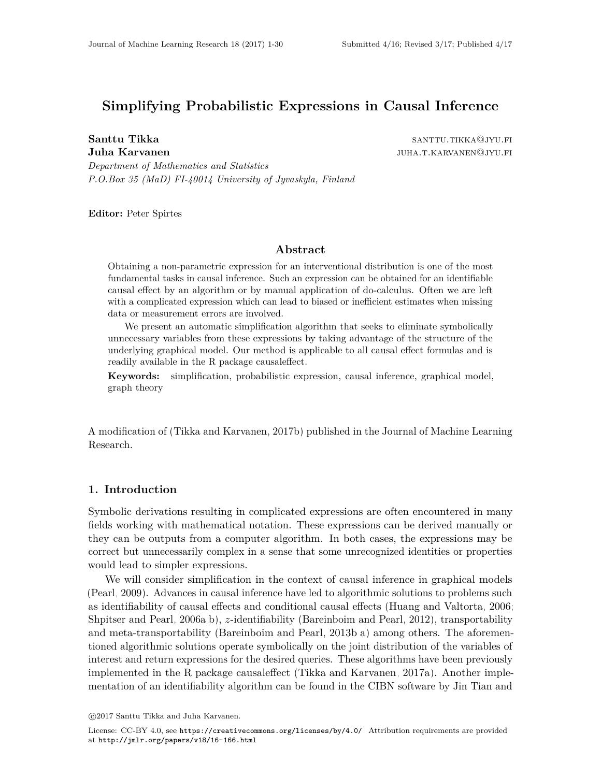# **Simplifying Probabilistic Expressions in Causal Inference**

**Santtu Tikka** santtu.tikka santtu.tikka santtu.tikka santtu.tikka santtu.tikka santtu.tikka santtu.tikka santtu **Juha Karvanen** juha.t.karvanen@jyu.fi

*Department of Mathematics and Statistics P.O.Box 35 (MaD) FI-40014 University of Jyvaskyla, Finland*

**Editor:** Peter Spirtes

#### **Abstract**

Obtaining a non-parametric expression for an interventional distribution is one of the most fundamental tasks in causal inference. Such an expression can be obtained for an identifiable causal effect by an algorithm or by manual application of do-calculus. Often we are left with a complicated expression which can lead to biased or inefficient estimates when missing data or measurement errors are involved.

We present an automatic simplification algorithm that seeks to eliminate symbolically unnecessary variables from these expressions by taking advantage of the structure of the underlying graphical model. Our method is applicable to all causal effect formulas and is readily available in the R package causaleffect.

**Keywords:** simplification, probabilistic expression, causal inference, graphical model, graph theory

A modification of [\(Tikka and Karvanen, 2017b\)](#page-29-0) published in the Journal of Machine Learning Research.

#### <span id="page-0-0"></span>**1. Introduction**

Symbolic derivations resulting in complicated expressions are often encountered in many fields working with mathematical notation. These expressions can be derived manually or they can be outputs from a computer algorithm. In both cases, the expressions may be correct but unnecessarily complex in a sense that some unrecognized identities or properties would lead to simpler expressions.

We will consider simplification in the context of causal inference in graphical models [\(Pearl, 2009\)](#page-29-1). Advances in causal inference have led to algorithmic solutions to problems such as identifiability of causal effects and conditional causal effects [\(Huang and Valtorta, 2006;](#page-28-0) [Shpitser and Pearl, 2006a,](#page-29-2)[b\)](#page-29-3), *z*-identifiability [\(Bareinboim and Pearl, 2012\)](#page-28-1), transportability and meta-transportability [\(Bareinboim and Pearl, 2013b](#page-28-2)[,a\)](#page-28-3) among others. The aforementioned algorithmic solutions operate symbolically on the joint distribution of the variables of interest and return expressions for the desired queries. These algorithms have been previously implemented in the R package causaleffect [\(Tikka and Karvanen, 2017a\)](#page-29-4). Another implementation of an identifiability algorithm can be found in the CIBN software by Jin Tian and

c 2017 Santtu Tikka and Juha Karvanen.

License: CC-BY 4.0, see <https://creativecommons.org/licenses/by/4.0/>. Attribution requirements are provided at <http://jmlr.org/papers/v18/16-166.html>.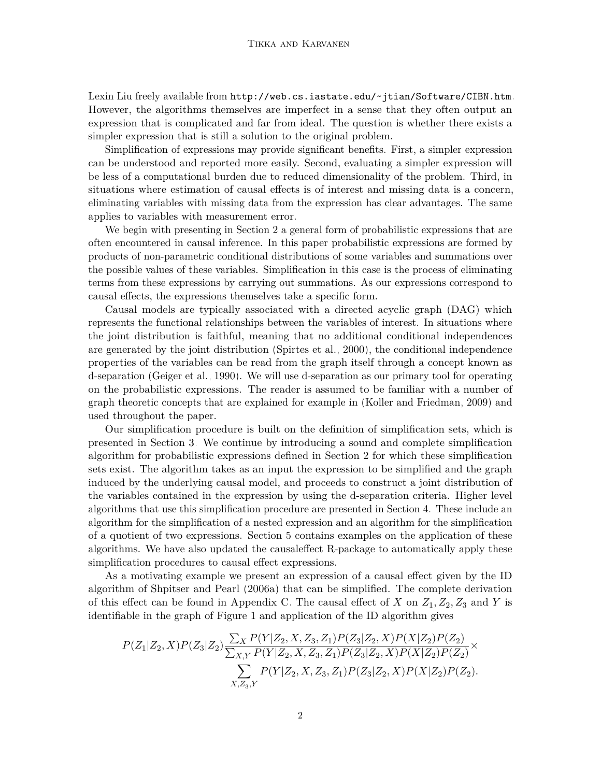Lexin Liu freely available from <http://web.cs.iastate.edu/~jtian/Software/CIBN.htm>. However, the algorithms themselves are imperfect in a sense that they often output an expression that is complicated and far from ideal. The question is whether there exists a simpler expression that is still a solution to the original problem.

Simplification of expressions may provide significant benefits. First, a simpler expression can be understood and reported more easily. Second, evaluating a simpler expression will be less of a computational burden due to reduced dimensionality of the problem. Third, in situations where estimation of causal effects is of interest and missing data is a concern, eliminating variables with missing data from the expression has clear advantages. The same applies to variables with measurement error.

We begin with presenting in Section [2](#page-3-0) a general form of probabilistic expressions that are often encountered in causal inference. In this paper probabilistic expressions are formed by products of non-parametric conditional distributions of some variables and summations over the possible values of these variables. Simplification in this case is the process of eliminating terms from these expressions by carrying out summations. As our expressions correspond to causal effects, the expressions themselves take a specific form.

Causal models are typically associated with a directed acyclic graph (DAG) which represents the functional relationships between the variables of interest. In situations where the joint distribution is faithful, meaning that no additional conditional independences are generated by the joint distribution [\(Spirtes et al., 2000\)](#page-29-5), the conditional independence properties of the variables can be read from the graph itself through a concept known as d-separation [\(Geiger et al., 1990\)](#page-28-4). We will use d-separation as our primary tool for operating on the probabilistic expressions. The reader is assumed to be familiar with a number of graph theoretic concepts that are explained for example in [\(Koller and Friedman, 2009\)](#page-28-5) and used throughout the paper.

Our simplification procedure is built on the definition of simplification sets, which is presented in Section [3.](#page-5-0) We continue by introducing a sound and complete simplification algorithm for probabilistic expressions defined in Section [2](#page-3-0) for which these simplification sets exist. The algorithm takes as an input the expression to be simplified and the graph induced by the underlying causal model, and proceeds to construct a joint distribution of the variables contained in the expression by using the d-separation criteria. Higher level algorithms that use this simplification procedure are presented in Section [4.](#page-11-0) These include an algorithm for the simplification of a nested expression and an algorithm for the simplification of a quotient of two expressions. Section [5](#page-13-0) contains examples on the application of these algorithms. We have also updated the causaleffect R-package to automatically apply these simplification procedures to causal effect expressions.

As a motivating example we present an expression of a causal effect given by the ID algorithm of [Shpitser and Pearl \(2006a\)](#page-29-2) that can be simplified. The complete derivation of this effect can be found in Appendix [C.](#page-5-0) The causal effect of *X* on  $Z_1, Z_2, Z_3$  and *Y* is identifiable in the graph of Figure [1](#page-2-0) and application of the ID algorithm gives

$$
P(Z_1|Z_2, X)P(Z_3|Z_2) \frac{\sum_{X} P(Y|Z_2, X, Z_3, Z_1) P(Z_3|Z_2, X) P(X|Z_2) P(Z_2)}{\sum_{X, Y} P(Y|Z_2, X, Z_3, Z_1) P(Z_3|Z_2, X) P(X|Z_2) P(Z_2)} \times \frac{\sum_{X, Z_3, Y} P(Y|Z_2, X, Z_3, Z_1) P(Z_3|Z_2, X) P(X|Z_2) P(Z_2)}{X, Z_3, Y}
$$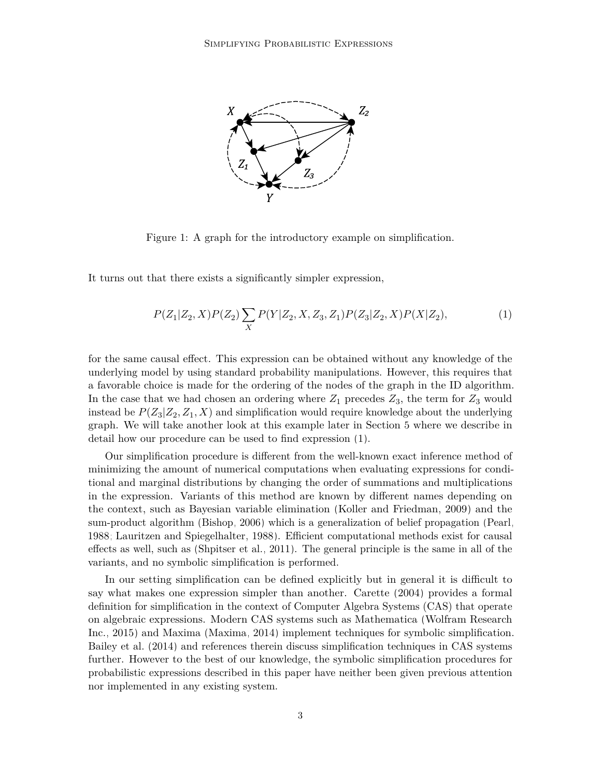<span id="page-2-0"></span>

Figure 1: A graph for the introductory example on simplification.

It turns out that there exists a significantly simpler expression,

<span id="page-2-1"></span>
$$
P(Z_1|Z_2, X)P(Z_2) \sum_X P(Y|Z_2, X, Z_3, Z_1)P(Z_3|Z_2, X)P(X|Z_2),\tag{1}
$$

for the same causal effect. This expression can be obtained without any knowledge of the underlying model by using standard probability manipulations. However, this requires that a favorable choice is made for the ordering of the nodes of the graph in the ID algorithm. In the case that we had chosen an ordering where  $Z_1$  precedes  $Z_3$ , the term for  $Z_3$  would instead be  $P(Z_3|Z_2, Z_1, X)$  and simplification would require knowledge about the underlying graph. We will take another look at this example later in Section [5](#page-13-0) where we describe in detail how our procedure can be used to find expression [\(1\)](#page-2-1).

Our simplification procedure is different from the well-known exact inference method of minimizing the amount of numerical computations when evaluating expressions for conditional and marginal distributions by changing the order of summations and multiplications in the expression. Variants of this method are known by different names depending on the context, such as Bayesian variable elimination [\(Koller and Friedman, 2009\)](#page-28-5) and the sum-product algorithm [\(Bishop, 2006\)](#page-28-6) which is a generalization of belief propagation [\(Pearl,](#page-29-6) [1988;](#page-29-6) [Lauritzen and Spiegelhalter, 1988\)](#page-28-7). Efficient computational methods exist for causal effects as well, such as [\(Shpitser et al., 2011\)](#page-29-7). The general principle is the same in all of the variants, and no symbolic simplification is performed.

In our setting simplification can be defined explicitly but in general it is difficult to say what makes one expression simpler than another. [Carette](#page-28-8) [\(2004\)](#page-28-8) provides a formal definition for simplification in the context of Computer Algebra Systems (CAS) that operate on algebraic expressions. Modern CAS systems such as Mathematica [\(Wolfram Research](#page-29-8) [Inc., 2015\)](#page-29-8) and Maxima [\(Maxima, 2014\)](#page-28-9) implement techniques for symbolic simplification. [Bailey et al.](#page-28-10) [\(2014\)](#page-28-10) and references therein discuss simplification techniques in CAS systems further. However to the best of our knowledge, the symbolic simplification procedures for probabilistic expressions described in this paper have neither been given previous attention nor implemented in any existing system.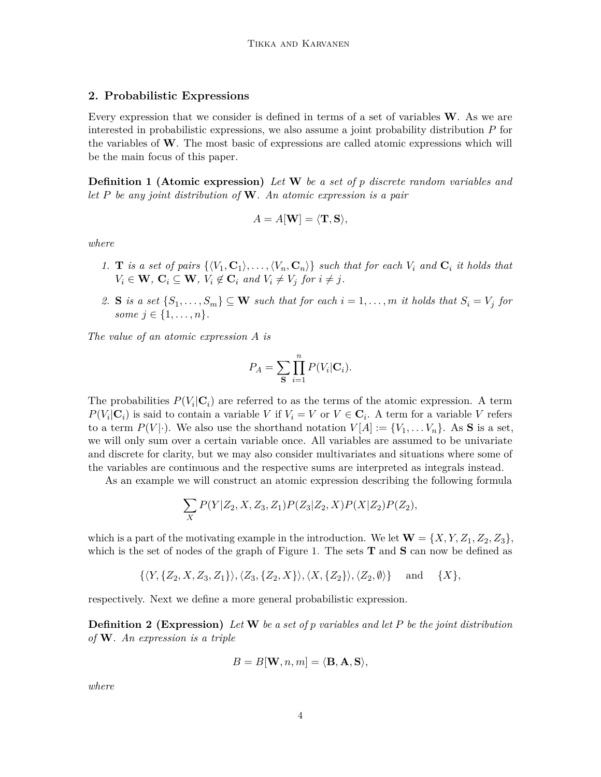#### <span id="page-3-0"></span>**2. Probabilistic Expressions**

Every expression that we consider is defined in terms of a set of variables **W**. As we are interested in probabilistic expressions, we also assume a joint probability distribution *P* for the variables of **W**. The most basic of expressions are called atomic expressions which will be the main focus of this paper.

**Definition 1 (Atomic expression)** *Let* **W** *be a set of p discrete random variables and let P be any joint distribution of* **W***. An atomic expression is a pair*

$$
A=A[\mathbf{W}]=\langle \mathbf{T},\mathbf{S}\rangle,
$$

*where*

- 1. **T** is a set of pairs  $\{\langle V_1, \mathbf{C}_1 \rangle, \ldots, \langle V_n, \mathbf{C}_n \rangle\}$  such that for each  $V_i$  and  $\mathbf{C}_i$  it holds that  $V_i \in \mathbf{W}$ ,  $\mathbf{C}_i \subseteq \mathbf{W}$ ,  $V_i \notin \mathbf{C}_i$  and  $V_i \neq V_j$  for  $i \neq j$ .
- 2. **S** is a set  $\{S_1, \ldots, S_m\} \subseteq \mathbf{W}$  such that for each  $i = 1, \ldots, m$  it holds that  $S_i = V_j$  for *some*  $j \in \{1, ..., n\}$ *.*

*The value of an atomic expression A is*

$$
P_A = \sum_{\mathbf{S}} \prod_{i=1}^n P(V_i | \mathbf{C}_i).
$$

The probabilities  $P(V_i|\mathbf{C}_i)$  are referred to as the terms of the atomic expression. A term  $P(V_i|\mathbf{C}_i)$  is said to contain a variable *V* if  $V_i = V$  or  $V \in \mathbf{C}_i$ . A term for a variable *V* refers to a term  $P(V|\cdot)$ . We also use the shorthand notation  $V[A] := \{V_1, \ldots V_n\}$ . As **S** is a set, we will only sum over a certain variable once. All variables are assumed to be univariate and discrete for clarity, but we may also consider multivariates and situations where some of the variables are continuous and the respective sums are interpreted as integrals instead.

As an example we will construct an atomic expression describing the following formula

$$
\sum_{X} P(Y|Z_2,X,Z_3,Z_1) P(Z_3|Z_2,X) P(X|Z_2) P(Z_2),
$$

which is a part of the motivating example in the introduction. We let  $\mathbf{W} = \{X, Y, Z_1, Z_2, Z_3\}$ , which is the set of nodes of the graph of Figure [1.](#page-2-0) The sets **T** and **S** can now be defined as

 $\{\langle Y, \{Z_2, X, Z_3, Z_1\}\rangle, \langle Z_3, \{Z_2, X\}\rangle, \langle X, \{Z_2\}\rangle, \langle Z_2, \emptyset\rangle\}$  and  $\{\overline{X}\},$ 

<span id="page-3-1"></span>respectively. Next we define a more general probabilistic expression.

**Definition 2 (Expression)** *Let* **W** *be a set of p variables and let P be the joint distribution of* **W***. An expression is a triple*

$$
B=B[\mathbf{W}, n, m] = \langle \mathbf{B}, \mathbf{A}, \mathbf{S} \rangle,
$$

*where*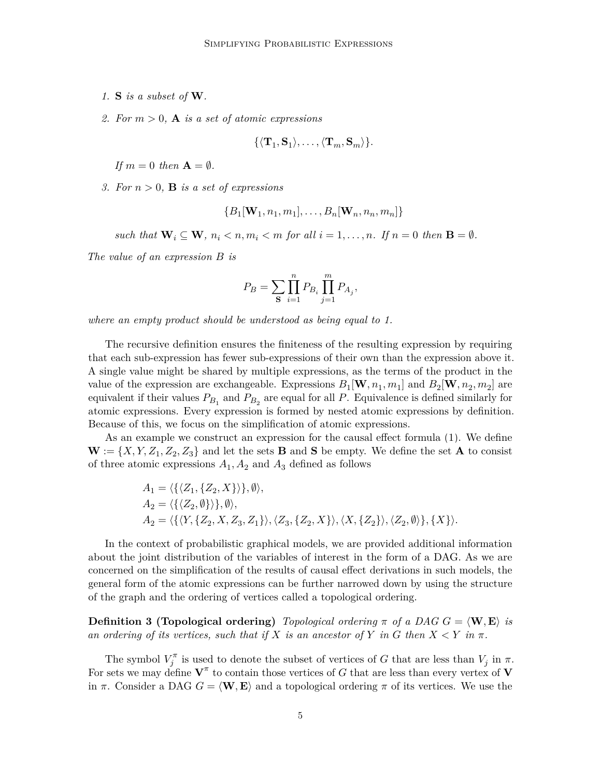- *1.* **S** *is a subset of* **W***.*
- *2. For m >* 0*,* **A** *is a set of atomic expressions*

$$
\{\langle \mathbf{T}_1, \mathbf{S}_1\rangle, \ldots, \langle \mathbf{T}_m, \mathbf{S}_m\rangle\}.
$$

*If*  $m = 0$  *then*  $\mathbf{A} = \emptyset$ *.* 

*3. For*  $n > 0$ , **B** *is a set of expressions* 

$$
\{B_1[\mathbf{W}_1, n_1, m_1], \ldots, B_n[\mathbf{W}_n, n_n, m_n]\}
$$

*such that*  $\mathbf{W}_i \subseteq \mathbf{W}$ *,*  $n_i < n, m_i < m$  for all  $i = 1, \ldots, n$ *. If*  $n = 0$  *then*  $\mathbf{B} = \emptyset$ *.* 

*The value of an expression B is*

$$
P_B = \sum_{\mathbf{S}} \prod_{i=1}^n P_{B_i} \prod_{j=1}^m P_{A_j},
$$

*where an empty product should be understood as being equal to 1.*

The recursive definition ensures the finiteness of the resulting expression by requiring that each sub-expression has fewer sub-expressions of their own than the expression above it. A single value might be shared by multiple expressions, as the terms of the product in the value of the expression are exchangeable. Expressions  $B_1$  [**W***, n*<sub>1</sub>*, m*<sub>1</sub>] and  $B_2$ [**W***, n*<sub>2</sub>*, m*<sub>2</sub>] are equivalent if their values  $P_{B_1}$  and  $P_{B_2}$  are equal for all  $P$ . Equivalence is defined similarly for atomic expressions. Every expression is formed by nested atomic expressions by definition. Because of this, we focus on the simplification of atomic expressions.

As an example we construct an expression for the causal effect formula [\(1\)](#page-2-1). We define  $\mathbf{W} := \{X, Y, Z_1, Z_2, Z_3\}$  and let the sets **B** and **S** be empty. We define the set **A** to consist of three atomic expressions  $A_1$ ,  $A_2$  and  $A_3$  defined as follows

$$
A_1 = \langle \{ \langle Z_1, \{Z_2, X\} \rangle \}, \emptyset \rangle,
$$
  
\n
$$
A_2 = \langle \{ \langle Z_2, \emptyset \} \rangle \}, \emptyset \rangle,
$$
  
\n
$$
A_2 = \langle \{ \langle Y, \{Z_2, X, Z_3, Z_1\} \rangle, \langle Z_3, \{Z_2, X\} \rangle, \langle X, \{Z_2\} \rangle, \langle Z_2, \emptyset \rangle \}, \{X \} \rangle.
$$

In the context of probabilistic graphical models, we are provided additional information about the joint distribution of the variables of interest in the form of a DAG. As we are concerned on the simplification of the results of causal effect derivations in such models, the general form of the atomic expressions can be further narrowed down by using the structure of the graph and the ordering of vertices called a topological ordering.

**Definition 3 (Topological ordering)** *Topological ordering*  $\pi$  *of a DAG*  $G = \langle \mathbf{W}, \mathbf{E} \rangle$  *is an ordering of its vertices, such that if*  $X$  *is an ancestor of*  $Y$  *in*  $G$  *then*  $X \leq Y$  *in*  $\pi$ *.* 

The symbol  $V_j^{\pi}$  is used to denote the subset of vertices of *G* that are less than  $V_j$  in  $\pi$ . For sets we may define  $V^{\pi}$  to contain those vertices of *G* that are less than every vertex of **V** in  $\pi$ . Consider a DAG  $G = \langle \mathbf{W}, \mathbf{E} \rangle$  and a topological ordering  $\pi$  of its vertices. We use the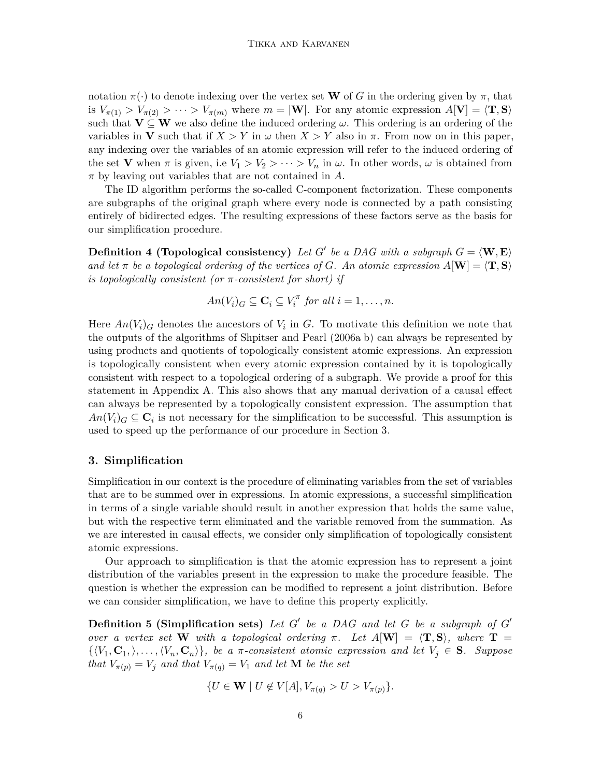notation  $\pi(\cdot)$  to denote indexing over the vertex set **W** of *G* in the ordering given by  $\pi$ , that is  $V_{\pi(1)} > V_{\pi(2)} > \cdots > V_{\pi(m)}$  where  $m = |\mathbf{W}|$ . For any atomic expression  $A[\mathbf{V}] = \langle \mathbf{T}, \mathbf{S} \rangle$ such that  $V \subseteq W$  we also define the induced ordering  $\omega$ . This ordering is an ordering of the variables in **V** such that if  $X > Y$  in  $\omega$  then  $X > Y$  also in  $\pi$ . From now on in this paper, any indexing over the variables of an atomic expression will refer to the induced ordering of the set **V** when  $\pi$  is given, i.e  $V_1 > V_2 > \cdots > V_n$  in  $\omega$ . In other words,  $\omega$  is obtained from *π* by leaving out variables that are not contained in *A*.

The ID algorithm performs the so-called C-component factorization. These components are subgraphs of the original graph where every node is connected by a path consisting entirely of bidirected edges. The resulting expressions of these factors serve as the basis for our simplification procedure.

**Definition 4 (Topological consistency)** Let  $G'$  be a DAG with a subgraph  $G = \langle \mathbf{W}, \mathbf{E} \rangle$ *and let*  $\pi$  *be a topological ordering of the vertices of G. An atomic expression*  $A[\mathbf{W}] = \langle \mathbf{T}, \mathbf{S} \rangle$ *is topologically consistent (or π-consistent for short) if*

$$
An(V_i)_G \subseteq \mathbf{C}_i \subseteq V_i^{\pi} \text{ for all } i = 1, \ldots, n.
$$

Here  $An(V_i)$ <sub>G</sub> denotes the ancestors of  $V_i$  in G. To motivate this definition we note that the outputs of the algorithms of [Shpitser and Pearl](#page-29-2) [\(2006a,](#page-29-2)[b\)](#page-29-3) can always be represented by using products and quotients of topologically consistent atomic expressions. An expression is topologically consistent when every atomic expression contained by it is topologically consistent with respect to a topological ordering of a subgraph. We provide a proof for this statement in Appendix [A.](#page-0-0) This also shows that any manual derivation of a causal effect can always be represented by a topologically consistent expression. The assumption that  $An(V_i)$ <sub>*G*</sub>  $\subseteq$  **C**<sup>*i*</sup> is not necessary for the simplification to be successful. This assumption is used to speed up the performance of our procedure in Section [3.](#page-5-0)

#### <span id="page-5-0"></span>**3. Simplification**

Simplification in our context is the procedure of eliminating variables from the set of variables that are to be summed over in expressions. In atomic expressions, a successful simplification in terms of a single variable should result in another expression that holds the same value, but with the respective term eliminated and the variable removed from the summation. As we are interested in causal effects, we consider only simplification of topologically consistent atomic expressions.

Our approach to simplification is that the atomic expression has to represent a joint distribution of the variables present in the expression to make the procedure feasible. The question is whether the expression can be modified to represent a joint distribution. Before we can consider simplification, we have to define this property explicitly.

<span id="page-5-1"></span>**Definition 5 (Simplification sets)** Let G' be a DAG and let G be a subgraph of G' *over a vertex set* **W** *with a topological ordering*  $\pi$ *. Let*  $A[\mathbf{W}] = \langle \mathbf{T}, \mathbf{S} \rangle$ *, where*  $\mathbf{T} =$  $\{\langle V_1, \mathbf{C}_1, \rangle, \ldots, \langle V_n, \mathbf{C}_n \rangle\}$ , be a  $\pi$ -consistent atomic expression and let  $V_j \in \mathbf{S}$ *. Suppose that*  $V_{\pi(p)} = V_j$  *and that*  $V_{\pi(q)} = V_1$  *and let* **M** *be the set* 

$$
\{U \in \mathbf{W} \mid U \notin V[A], V_{\pi(q)} > U > V_{\pi(p)}\}.
$$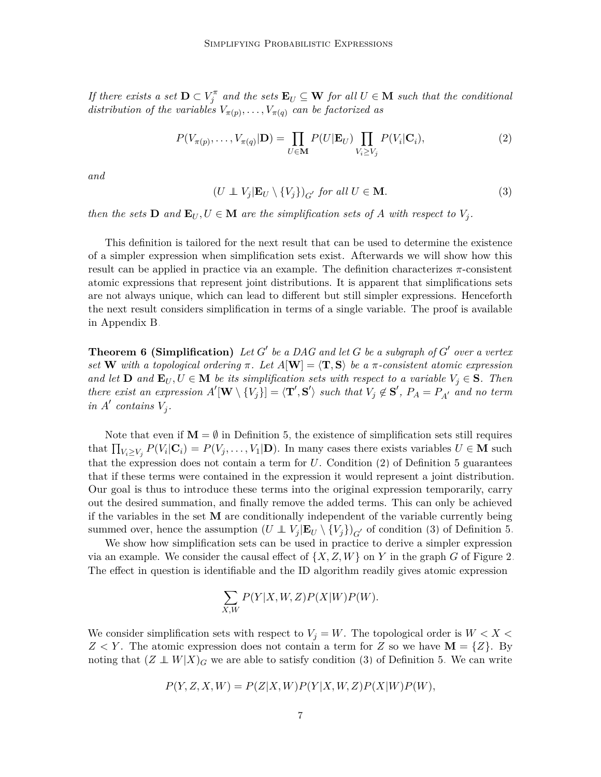*If there exists a set*  $\mathbf{D} \subset V_j^{\pi}$  *and the sets*  $\mathbf{E}_U \subseteq \mathbf{W}$  *for all*  $U \in \mathbf{M}$  *such that the conditional distribution of the variables*  $V_{\pi(p)}, \ldots, V_{\pi(q)}$  *can be factorized as* 

$$
P(V_{\pi(p)},\ldots,V_{\pi(q)}|\mathbf{D}) = \prod_{U \in \mathbf{M}} P(U|\mathbf{E}_U) \prod_{V_i \ge V_j} P(V_i|\mathbf{C}_i),
$$
\n(2)

<span id="page-6-1"></span>*and*

<span id="page-6-0"></span>
$$
(U \perp V_j | \mathbf{E}_U \setminus \{V_j\})_{G'} \text{ for all } U \in \mathbf{M}.
$$
 (3)

*then the sets*  $D$  *and*  $E_U, U \in M$  *are the simplification sets of A with respect to*  $V_j$ .

This definition is tailored for the next result that can be used to determine the existence of a simpler expression when simplification sets exist. Afterwards we will show how this result can be applied in practice via an example. The definition characterizes *π*-consistent atomic expressions that represent joint distributions. It is apparent that simplifications sets are not always unique, which can lead to different but still simpler expressions. Henceforth the next result considers simplification in terms of a single variable. The proof is available in Appendix [B.](#page-3-0)

<span id="page-6-2"></span>**Theorem 6 (Simplification)** Let  $G'$  be a DAG and let  $G$  be a subgraph of  $G'$  over a vertex *set* **W** with a topological ordering  $\pi$ . Let  $A[\mathbf{W}] = \langle \mathbf{T}, \mathbf{S} \rangle$  be a  $\pi$ -consistent atomic expression *and let* **D** *and*  $\mathbf{E}_U, U \in \mathbf{M}$  *be its simplification sets with respect to a variable*  $V_j \in \mathbf{S}$ *. Then* there exist an expression  $A'[\mathbf{W} \setminus \{V_j\}] = \langle \mathbf{T}', \mathbf{S}' \rangle$  such that  $V_j \notin \mathbf{S}'$ ,  $P_A = P_{A'}$  and no term *in*  $A'$  *contains*  $V_j$ *.* 

Note that even if  $\mathbf{M} = \emptyset$  in Definition [5,](#page-5-1) the existence of simplification sets still requires that  $\prod_{V_i \ge V_j} P(V_i | \mathbf{C}_i) = P(V_j, \dots, V_1 | \mathbf{D})$ . In many cases there exists variables  $U \in \mathbf{M}$  such that the expression does not contain a term for  $U$ . Condition  $(2)$  of Definition [5](#page-5-1) guarantees that if these terms were contained in the expression it would represent a joint distribution. Our goal is thus to introduce these terms into the original expression temporarily, carry out the desired summation, and finally remove the added terms. This can only be achieved if the variables in the set **M** are conditionally independent of the variable currently being summed over, hence the assumption  $(U \perp\!\!\!\perp V_j | \mathbf{E}_U \setminus \{V_j\})_{G'}$  of condition [\(3\)](#page-6-1) of Definition [5.](#page-5-1)

We show how simplification sets can be used in practice to derive a simpler expression via an example. We consider the causal effect of  $\{X, Z, W\}$  on *Y* in the graph *G* of Figure [2.](#page-7-0) The effect in question is identifiable and the ID algorithm readily gives atomic expression

$$
\sum_{X,W} P(Y|X,W,Z)P(X|W)P(W).
$$

We consider simplification sets with respect to  $V_j = W$ . The topological order is  $W < X$  $Z \leq Y$ . The atomic expression does not contain a term for *Z* so we have **M** = {*Z*}. By noting that  $(Z \perp W | X)$ <sub>G</sub> we are able to satisfy condition [\(3\)](#page-6-1) of Definition [5.](#page-5-1) We can write

$$
P(Y, Z, X, W) = P(Z|X, W)P(Y|X, W, Z)P(X|W)P(W),
$$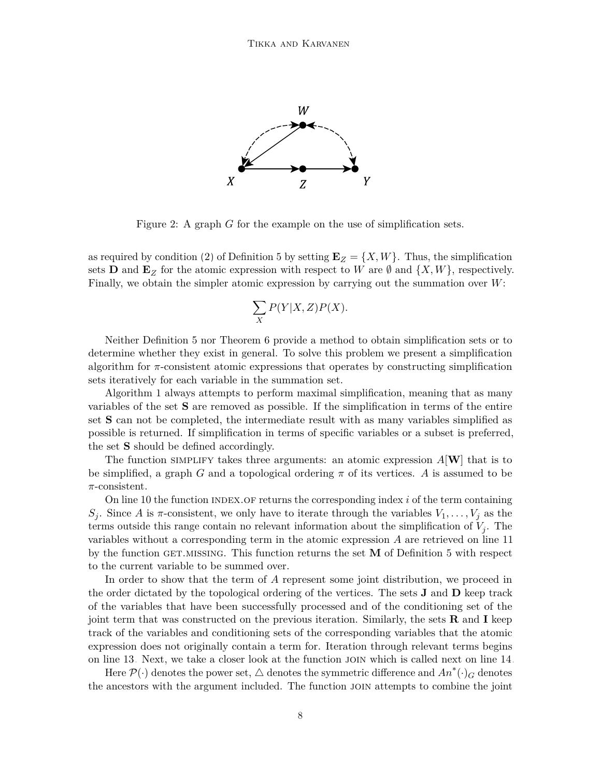

Figure 2: A graph *G* for the example on the use of simplification sets.

as required by condition [\(2\)](#page-6-0) of Definition [5](#page-5-1) by setting  $\mathbf{E}_Z = \{X, W\}$ . Thus, the simplification sets **D** and  $\mathbf{E}_z$  for the atomic expression with respect to W are  $\emptyset$  and  $\{X, W\}$ , respectively. Finally, we obtain the simpler atomic expression by carrying out the summation over *W*:

<span id="page-7-0"></span>
$$
\sum_{X} P(Y|X,Z)P(X).
$$

Neither Definition [5](#page-5-1) nor Theorem [6](#page-6-2) provide a method to obtain simplification sets or to determine whether they exist in general. To solve this problem we present a simplification algorithm for *π*-consistent atomic expressions that operates by constructing simplification sets iteratively for each variable in the summation set.

Algorithm [1](#page-8-0) always attempts to perform maximal simplification, meaning that as many variables of the set **S** are removed as possible. If the simplification in terms of the entire set **S** can not be completed, the intermediate result with as many variables simplified as possible is returned. If simplification in terms of specific variables or a subset is preferred, the set **S** should be defined accordingly.

The function SIMPLIFY takes three arguments: an atomic expression  $A[\mathbf{W}]$  that is to be simplified, a graph *G* and a topological ordering  $\pi$  of its vertices. *A* is assumed to be *π*-consistent.

On line [10](#page-7-0) the function index.of returns the corresponding index *i* of the term containing *S*<sub>*j*</sub>. Since *A* is *π*-consistent, we only have to iterate through the variables  $V_1, \ldots, V_j$  as the terms outside this range contain no relevant information about the simplification of *V<sup>j</sup>* . The variables without a corresponding term in the atomic expression *A* are retrieved on line [11](#page-7-0) by the function GET.MISSING. This function returns the set **M** of Definition [5](#page-5-1) with respect to the current variable to be summed over.

In order to show that the term of *A* represent some joint distribution, we proceed in the order dictated by the topological ordering of the vertices. The sets **J** and **D** keep track of the variables that have been successfully processed and of the conditioning set of the joint term that was constructed on the previous iteration. Similarly, the sets **R** and **I** keep track of the variables and conditioning sets of the corresponding variables that the atomic expression does not originally contain a term for. Iteration through relevant terms begins on line [13.](#page-7-0) Next, we take a closer look at the function join which is called next on line [14.](#page-7-0)

Here  $\mathcal{P}(\cdot)$  denotes the power set,  $\triangle$  denotes the symmetric difference and  $An^*(\cdot)_G$  denotes the ancestors with the argument included. The function join attempts to combine the joint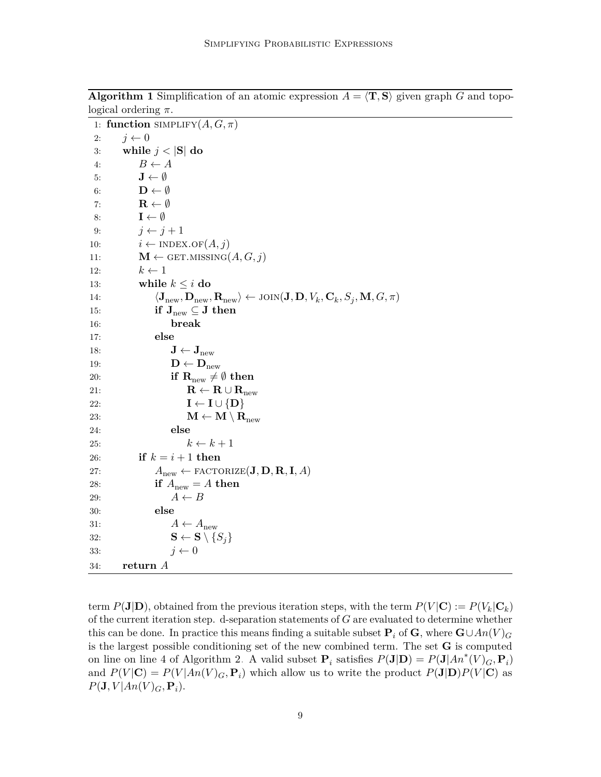|     | 1: function SIMPLIFY $(A, G, \pi)$                                                                                                                                                     |
|-----|----------------------------------------------------------------------------------------------------------------------------------------------------------------------------------------|
| 2:  | $j \leftarrow 0$                                                                                                                                                                       |
| 3:  | while $j <  S $ do                                                                                                                                                                     |
| 4:  | $B \leftarrow A$                                                                                                                                                                       |
| 5:  | $\mathbf{J} \leftarrow \emptyset$                                                                                                                                                      |
| 6:  | $\mathbf{D} \leftarrow \emptyset$                                                                                                                                                      |
| 7:  | $\mathbf{R} \leftarrow \emptyset$                                                                                                                                                      |
| 8:  | $\mathbf{I} \leftarrow \emptyset$                                                                                                                                                      |
| 9:  | $j \leftarrow j + 1$                                                                                                                                                                   |
| 10: | $i \leftarrow \text{INDEX.OF}(A, j)$                                                                                                                                                   |
| 11: | $\mathbf{M} \leftarrow$ GET.MISSING $(A, G, j)$                                                                                                                                        |
| 12: | $k \leftarrow 1$                                                                                                                                                                       |
| 13: | while $k \leq i$ do                                                                                                                                                                    |
| 14: | $\langle \mathbf{J}_{\text{new}}, \mathbf{D}_{\text{new}}, \mathbf{R}_{\text{new}} \rangle \leftarrow \text{JOIN}(\mathbf{J}, \mathbf{D}, V_k, \mathbf{C}_k, S_j, \mathbf{M}, G, \pi)$ |
| 15: | if $J_{new} \subseteq J$ then                                                                                                                                                          |
| 16: | break                                                                                                                                                                                  |
| 17: | else                                                                                                                                                                                   |
| 18: | $\mathbf{J} \leftarrow \mathbf{J}_{\text{new}}$                                                                                                                                        |
| 19: | $\mathbf{D} \leftarrow \mathbf{D}_{\text{new}}$                                                                                                                                        |
| 20: | if $R_{new} \neq \emptyset$ then                                                                                                                                                       |
| 21: | $\mathbf{R} \leftarrow \mathbf{R} \cup \mathbf{R}_{\text{new}}$                                                                                                                        |
| 22: | $I \leftarrow I \cup \{D\}$                                                                                                                                                            |
| 23: | $\mathbf{M} \leftarrow \mathbf{M} \setminus \mathbf{R}_{\text{new}}$                                                                                                                   |
| 24: | else                                                                                                                                                                                   |
| 25: | $k \leftarrow k + 1$                                                                                                                                                                   |
| 26: | if $k = i + 1$ then                                                                                                                                                                    |
| 27: | $A_{\text{new}} \leftarrow \text{FACTORIZE}(\mathbf{J}, \mathbf{D}, \mathbf{R}, \mathbf{I}, A)$                                                                                        |
| 28: | if $A_{\text{new}} = A$ then                                                                                                                                                           |
| 29: | $A \leftarrow B$                                                                                                                                                                       |
| 30: | else                                                                                                                                                                                   |
| 31: | $A \leftarrow A_{\text{new}}$                                                                                                                                                          |
| 32: | $\mathbf{S} \leftarrow \mathbf{S} \setminus \{S_i\}$                                                                                                                                   |
| 33: | $i \leftarrow 0$                                                                                                                                                                       |
| 34: | return A                                                                                                                                                                               |

**Algorithm 1** Simplification of an atomic expression  $A = \langle \mathbf{T}, \mathbf{S} \rangle$  given graph *G* and topological ordering *π*.

<span id="page-8-0"></span>term  $P(\mathbf{J}|\mathbf{D})$ , obtained from the previous iteration steps, with the term  $P(V|\mathbf{C}) := P(V_k|\mathbf{C}_k)$ of the current iteration step. d-separation statements of *G* are evaluated to determine whether this can be done. In practice this means finding a suitable subset  $P_i$  of  $G$ , where  $G \cup An(V)$ is the largest possible conditioning set of the new combined term. The set **G** is computed on line on line [4](#page-8-0) of Algorithm [2.](#page-9-0) A valid subset  $P_i$  satisfies  $P(\mathbf{J}|\mathbf{D}) = P(\mathbf{J}|An^*(V)_G, \mathbf{P}_i)$ and  $P(V|\mathbf{C}) = P(V|An(V)_{G}, \mathbf{P}_{i})$  which allow us to write the product  $P(\mathbf{J}|\mathbf{D})P(V|\mathbf{C})$  as  $P(\mathbf{J}, V | An(V)_{G}, \mathbf{P}_{i}).$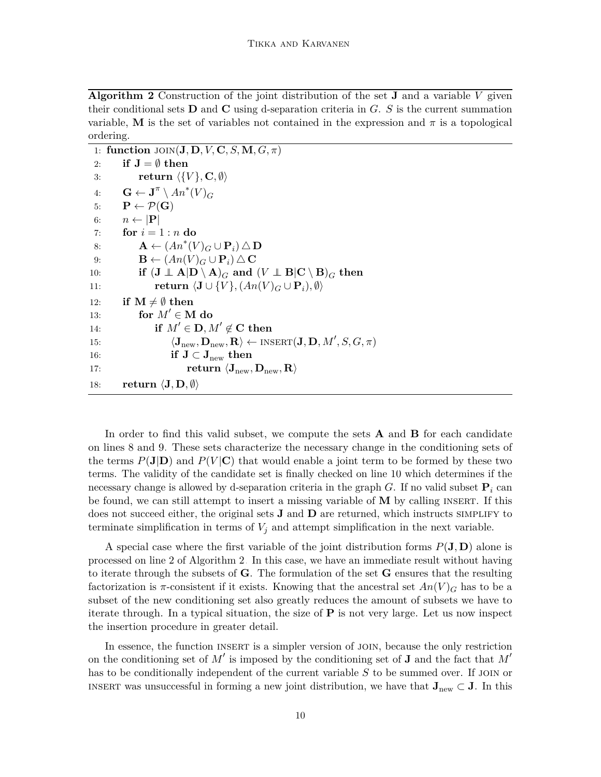**Algorithm 2** Construction of the joint distribution of the set **J** and a variable *V* given their conditional sets **D** and **C** using d-separation criteria in *G*. *S* is the current summation variable, **M** is the set of variables not contained in the expression and  $\pi$  is a topological ordering.

|     | 1: function $\text{JOIN}(\mathbf{J}, \mathbf{D}, V, \mathbf{C}, S, \mathbf{M}, G, \pi)$                                                        |
|-----|------------------------------------------------------------------------------------------------------------------------------------------------|
| 2:  | if $J = \emptyset$ then                                                                                                                        |
| 3:  | return $\langle \{V\}, \mathbf{C}, \emptyset \rangle$                                                                                          |
| 4:  | $\mathbf{G} \leftarrow \mathbf{J}^{\pi} \setminus An^*(V)_{G}$                                                                                 |
| 5:  | $P \leftarrow \mathcal{P}(G)$                                                                                                                  |
| 6:  | $n \leftarrow  \mathbf{P} $                                                                                                                    |
| 7:  | for $i=1:n$ do                                                                                                                                 |
| 8:  | $\mathbf{A} \leftarrow (An^*(V)_G \cup \mathbf{P}_i) \triangle \mathbf{D}$                                                                     |
| 9:  | $\mathbf{B} \leftarrow (An(V)_{\mathbf{C}} \cup \mathbf{P}_i) \triangle \mathbf{C}$                                                            |
| 10: | if $(\mathbf{J} \perp \mathbf{A}   \mathbf{D} \setminus \mathbf{A})_G$ and $(V \perp \mathbf{B}   \mathbf{C} \setminus \mathbf{B})_G$ then     |
| 11: | return $\langle \mathbf{J} \cup \{V\}, (An(V)_{G} \cup \mathbf{P}_{i}), \emptyset \rangle$                                                     |
| 12: | if $M \neq \emptyset$ then                                                                                                                     |
| 13: | for $M' \in M$ do                                                                                                                              |
| 14: | if $M' \in \mathbf{D}, M' \notin \mathbf{C}$ then                                                                                              |
| 15: | $\langle \mathbf{J}_{\text{new}}, \mathbf{D}_{\text{new}}, \mathbf{R} \rangle \leftarrow \text{INSERT}(\mathbf{J}, \mathbf{D}, M', S, G, \pi)$ |
| 16: | if $J \subset J_{new}$ then                                                                                                                    |
| 17: | return $\langle J_{new}, D_{new}, R \rangle$                                                                                                   |
| 18: | return $\langle J, D, \emptyset \rangle$                                                                                                       |

<span id="page-9-0"></span>In order to find this valid subset, we compute the sets **A** and **B** for each candidate on lines [8](#page-8-0) and [9.](#page-8-0) These sets characterize the necessary change in the conditioning sets of the terms  $P(\mathbf{J}|\mathbf{D})$  and  $P(V|\mathbf{C})$  that would enable a joint term to be formed by these two terms. The validity of the candidate set is finally checked on line [10](#page-8-0) which determines if the necessary change is allowed by d-separation criteria in the graph *G*. If no valid subset  $P_i$  can be found, we can still attempt to insert a missing variable of **M** by calling insert. If this does not succeed either, the original sets **J** and **D** are returned, which instructs SIMPLIFY to terminate simplification in terms of  $V_i$  and attempt simplification in the next variable.

A special case where the first variable of the joint distribution forms *P*(**J***,* **D**) alone is processed on line 2 of Algorithm [2.](#page-9-0) In this case, we have an immediate result without having to iterate through the subsets of **G**. The formulation of the set **G** ensures that the resulting factorization is  $\pi$ -consistent if it exists. Knowing that the ancestral set  $An(V)_{G}$  has to be a subset of the new conditioning set also greatly reduces the amount of subsets we have to iterate through. In a typical situation, the size of **P** is not very large. Let us now inspect the insertion procedure in greater detail.

In essence, the function insert is a simpler version of join, because the only restriction on the conditioning set of *M*′ is imposed by the conditioning set of **J** and the fact that *M*′ has to be conditionally independent of the current variable S to be summed over. If JOIN or INSERT was unsuccessful in forming a new joint distribution, we have that  $J_{new} \subset J$ . In this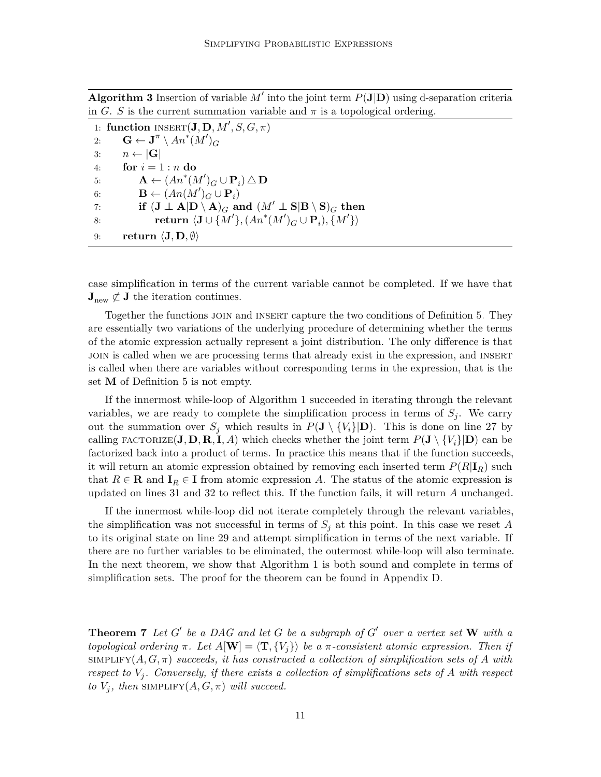**Algorithm 3** Insertion of variable  $M'$  into the joint term  $P(\mathbf{J}|\mathbf{D})$  using d-separation criteria in *G*. *S* is the current summation variable and  $\pi$  is a topological ordering.

1: **function**  $\text{INSERT}(\mathbf{J}, \mathbf{D}, M', S, G, \pi)$ 2: **G**  $\leftarrow$  **J**<sup> $\pi$ </sup> \  $An^*(M')_G$ 3:  $n \leftarrow |\mathbf{G}|$ 4: **for**  $i = 1 : n$  **do** 5: **A** ←  $(An^*(M')_G \cup \mathbf{P}_i) \triangle \mathbf{D}$ 6: **B** ←  $(An(M')_G \cup \mathbf{P}_i)$ 7: **if**  $(\mathbf{J} \perp \mathbf{A}|\mathbf{D} \setminus \mathbf{A})_G$  and  $(M' \perp \mathbf{S}|\mathbf{B} \setminus \mathbf{S})_G$  then 8: **return**  $\langle \mathbf{J} \cup \{M'\}, (An^*(M')_G \cup \mathbf{P}_i), \{M'\}\rangle$ 9: **return**  $\langle \mathbf{J}, \mathbf{D}, \emptyset \rangle$ 

<span id="page-10-0"></span>case simplification in terms of the current variable cannot be completed. If we have that  $\mathbf{J}_{\text{new}} \not\subset \mathbf{J}$  the iteration continues.

Together the functions join and insert capture the two conditions of Definition [5.](#page-5-1) They are essentially two variations of the underlying procedure of determining whether the terms of the atomic expression actually represent a joint distribution. The only difference is that join is called when we are processing terms that already exist in the expression, and insert is called when there are variables without corresponding terms in the expression, that is the set **M** of Definition [5](#page-5-1) is not empty.

If the innermost while-loop of Algorithm [1](#page-8-0) succeeded in iterating through the relevant variables, we are ready to complete the simplification process in terms of  $S_j$ . We carry out the summation over  $S_i$  which results in  $P(\mathbf{J} \setminus \{V_i\}|\mathbf{D})$ . This is done on line [27](#page-7-0) by calling  $\text{FACTORIZE}(\mathbf{J}, \mathbf{D}, \mathbf{R}, \mathbf{I}, A)$  which checks whether the joint term  $P(\mathbf{J} \setminus \{V_i\} | \mathbf{D})$  can be factorized back into a product of terms. In practice this means that if the function succeeds, it will return an atomic expression obtained by removing each inserted term  $P(R|\mathbf{I}_R)$  such that  $R \in \mathbf{R}$  and  $\mathbf{I}_R \in \mathbf{I}$  from atomic expression *A*. The status of the atomic expression is updated on lines [31](#page-7-0) and [32](#page-7-0) to reflect this. If the function fails, it will return *A* unchanged.

If the innermost while-loop did not iterate completely through the relevant variables, the simplification was not successful in terms of  $S<sub>j</sub>$  at this point. In this case we reset A to its original state on line [29](#page-7-0) and attempt simplification in terms of the next variable. If there are no further variables to be eliminated, the outermost while-loop will also terminate. In the next theorem, we show that Algorithm [1](#page-8-0) is both sound and complete in terms of simplification sets. The proof for the theorem can be found in Appendix [D.](#page-11-0)

<span id="page-10-1"></span>**Theorem 7** Let  $G'$  be a DAG and let  $G$  be a subgraph of  $G'$  over a vertex set  $W$  with a *topological ordering*  $\pi$ *. Let*  $A[\mathbf{W}] = \langle \mathbf{T}, \{V_i\} \rangle$  *be a*  $\pi$ *-consistent atomic expression. Then if*  $SIMPLIFY(A, G, \pi)$  succeeds, it has constructed a collection of simplification sets of A with *respect to V<sup>j</sup> . Conversely, if there exists a collection of simplifications sets of A with respect to*  $V_j$ , then SIMPLIFY $(A, G, \pi)$  *will succeed.*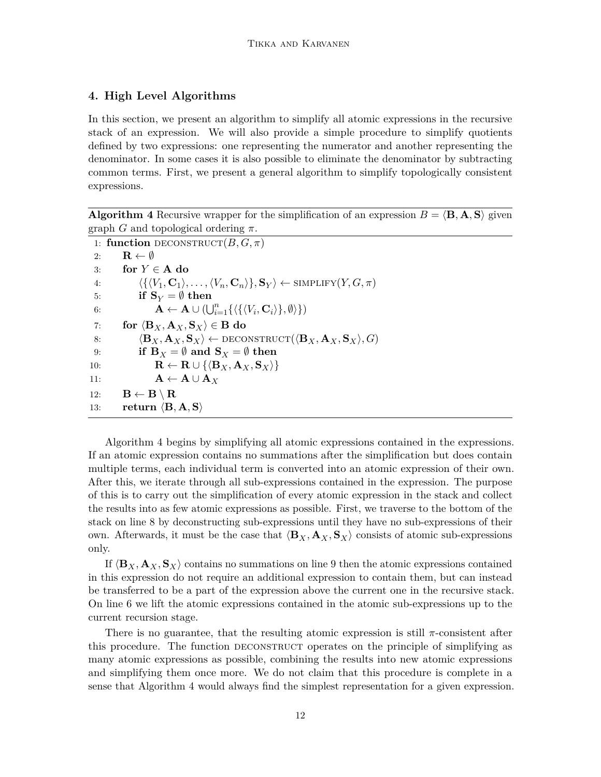## <span id="page-11-0"></span>**4. High Level Algorithms**

In this section, we present an algorithm to simplify all atomic expressions in the recursive stack of an expression. We will also provide a simple procedure to simplify quotients defined by two expressions: one representing the numerator and another representing the denominator. In some cases it is also possible to eliminate the denominator by subtracting common terms. First, we present a general algorithm to simplify topologically consistent expressions.

**Algorithm 4** Recursive wrapper for the simplification of an expression  $B = \langle \mathbf{B}, \mathbf{A}, \mathbf{S} \rangle$  given graph *G* and topological ordering *π*.

```
1: function DECONSTRUCT(B, G, \pi)2: \mathbf{R} \leftarrow \emptyset3: for Y ∈ A do
  4: \langle \{ \langle V_1, \mathbf{C}_1 \rangle, \dots, \langle V_n, \mathbf{C}_n \rangle \}, \mathbf{S}_Y \rangle \leftarrow \text{SIMPLIFY}(Y, G, \pi)5: if S_Y = \emptyset then
  6: A \leftarrow A \cup (\bigcup_{i=1}^{n} {\{\langle \{\langle V_i, \mathbf{C}_i \rangle\}, \emptyset \rangle \}})7: for \langle \mathbf{B}_X, \mathbf{A}_X, \mathbf{S}_X \rangle \in \mathbf{B} do
 8: \langle \mathbf{B}_X, \mathbf{A}_X, \mathbf{S}_X \rangle \leftarrow \text{DECONSTRUCT}(\langle \mathbf{B}_X, \mathbf{A}_X, \mathbf{S}_X \rangle, G)9: if B_X = \emptyset and S_X = \emptyset then
10: R ← R ∪ {\langle \mathbf{B}_X, \mathbf{A}_X, \mathbf{S}_X \rangle}
11: A ← A ∪ A<sub>X</sub>
12: B \leftarrow B \setminus R
13: return \langle \mathbf{B}, \mathbf{A}, \mathbf{S} \rangle
```
<span id="page-11-1"></span>Algorithm [4](#page-11-1) begins by simplifying all atomic expressions contained in the expressions. If an atomic expression contains no summations after the simplification but does contain multiple terms, each individual term is converted into an atomic expression of their own. After this, we iterate through all sub-expressions contained in the expression. The purpose of this is to carry out the simplification of every atomic expression in the stack and collect the results into as few atomic expressions as possible. First, we traverse to the bottom of the stack on line [8](#page-11-0) by deconstructing sub-expressions until they have no sub-expressions of their own. Afterwards, it must be the case that  $\langle \mathbf{B}_X, \mathbf{A}_X, \mathbf{S}_X \rangle$  consists of atomic sub-expressions only.

If  $\langle \mathbf{B}_X, \mathbf{A}_X, \mathbf{S}_X \rangle$  contains no summations on line [9](#page-11-0) then the atomic expressions contained in this expression do not require an additional expression to contain them, but can instead be transferred to be a part of the expression above the current one in the recursive stack. On line [6](#page-11-0) we lift the atomic expressions contained in the atomic sub-expressions up to the current recursion stage.

There is no guarantee, that the resulting atomic expression is still *π*-consistent after this procedure. The function deconstruct operates on the principle of simplifying as many atomic expressions as possible, combining the results into new atomic expressions and simplifying them once more. We do not claim that this procedure is complete in a sense that Algorithm [4](#page-11-1) would always find the simplest representation for a given expression.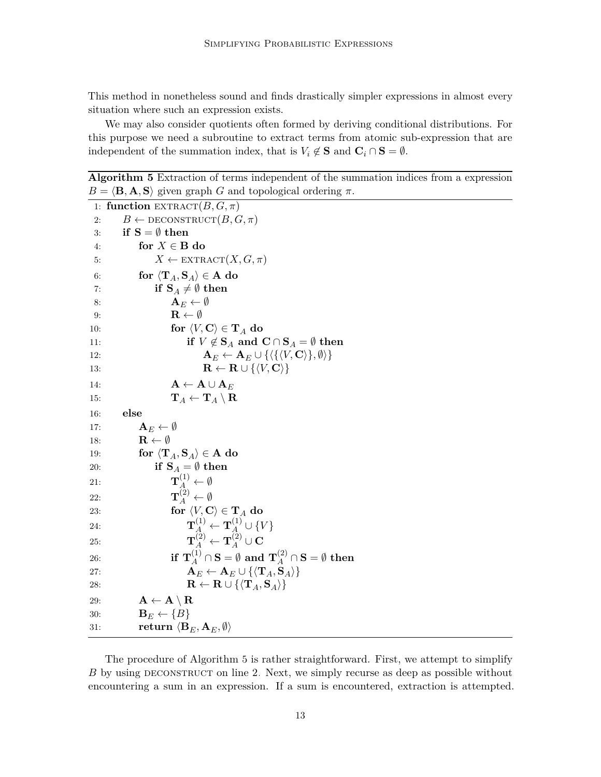This method in nonetheless sound and finds drastically simpler expressions in almost every situation where such an expression exists.

We may also consider quotients often formed by deriving conditional distributions. For this purpose we need a subroutine to extract terms from atomic sub-expression that are independent of the summation index, that is  $V_i \notin \mathbf{S}$  and  $\mathbf{C}_i \cap \mathbf{S} = \emptyset$ .

**Algorithm 5** Extraction of terms independent of the summation indices from a expression  $B = \langle \mathbf{B}, \mathbf{A}, \mathbf{S} \rangle$  given graph *G* and topological ordering *π*.

```
1: function \text{EXTRACT}(B, G, \pi)2: B \leftarrow \text{DECONSTRUCT}(B, G, \pi)3: if S = \emptyset then
 4: for X \in \mathbf{B} do
 5: X \leftarrow \text{EXTRACT}(X, G, \pi)6: for \langle \mathbf{T}_A, \mathbf{S}_A \rangle \in \mathbf{A} do
 7: if S_A \neq \emptyset then
 8: A<sub>E</sub> \leftarrow \emptyset9: R ← Ø
10: for \langle V, \mathbf{C} \rangle \in \mathbf{T}_A do
11: if V \notin \mathbf{S}_A and \mathbf{C} \cap \mathbf{S}_A = \emptyset then
12: A<sub>E</sub> ← A<sub>E</sub> ∪ {\langle \{\langle V, \mathbf{C} \rangle\}, \emptyset \rangle}
13: R ← R ∪ {\langle V, \mathbf{C} \rangle}
14: A ← A ∪ A<sub>E</sub>
15: \mathbf{T}_A \leftarrow \mathbf{T}_A \setminus \mathbf{R}16: else
17: A<sub>E</sub> \leftarrow \emptyset18: R \leftarrow \emptyset19: for \langle \mathbf{T}_A, \mathbf{S}_A \rangle \in \mathbf{A} do
20: if S_A = \emptyset then
21: T^{(1)}_A \leftarrow \emptyset22: \mathbf{T}_A^{(2)} \leftarrow \emptyset23: for \langle V, \mathbf{C} \rangle \in \mathbf{T}_A do
24: T<sub>A</sub><sup>(1)</sup> \leftarrow T<sub>A</sub><sup>(1)</sup> \cup {V}
25: T<sub>A</sub><sup>(2)</sup> \leftarrow T<sub>A</sub><sup>(2)</sup> \cup C
\mathbf{26:} \quad \text{if } \mathbf{T}_A^{(1)} \cap \mathbf{S} = \emptyset \text{ and } \mathbf{T}_A^{(2)} \cap \mathbf{S} = \emptyset \text{ then}27: A<sub>E</sub> ← A<sub>E</sub> ∪ {\langle \mathbf{T}_A, \mathbf{S}_A \rangle}
28: R ← R ∪ {\langle \mathbf{T}_A, \mathbf{S}_A \rangle}
29: A ← A \setminus R
30: B<sub>E</sub> \leftarrow \{B\}31: return \langle \mathbf{B}_E, \mathbf{A}_E, \emptyset \rangle
```
<span id="page-12-0"></span>The procedure of Algorithm [5](#page-12-0) is rather straightforward. First, we attempt to simplify *B* by using DECONSTRUCT on line [2.](#page-11-1) Next, we simply recurse as deep as possible without encountering a sum in an expression. If a sum is encountered, extraction is attempted.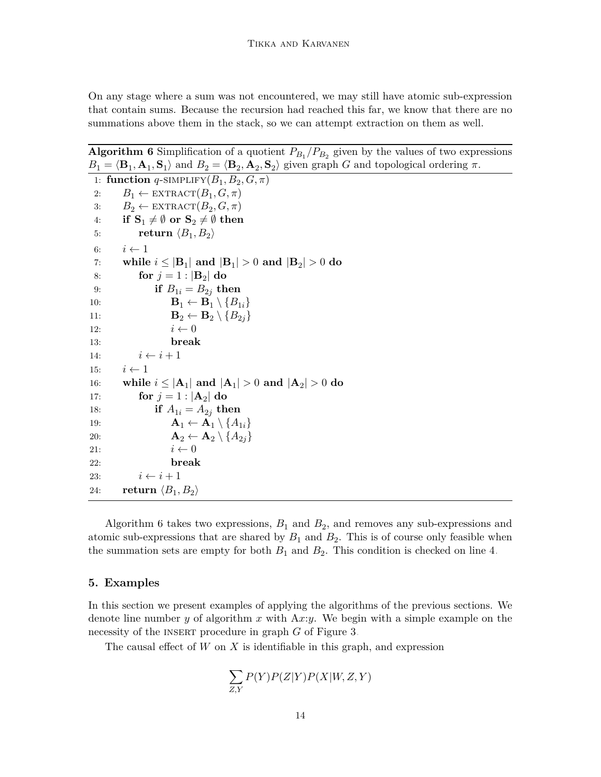On any stage where a sum was not encountered, we may still have atomic sub-expression that contain sums. Because the recursion had reached this far, we know that there are no summations above them in the stack, so we can attempt extraction on them as well.

**Algorithm 6** Simplification of a quotient  $P_{B_1}/P_{B_2}$  given by the values of two expressions  $B_1 = \langle \mathbf{B}_1, \mathbf{A}_1, \mathbf{S}_1 \rangle$  and  $B_2 = \langle \mathbf{B}_2, \mathbf{A}_2, \mathbf{S}_2 \rangle$  given graph *G* and topological ordering  $\pi$ .

```
1: function q-SIMPLIFY(B_1, B_2, G, \pi)2: B_1 \leftarrow \text{EXTRACT}(B_1, G, \pi)3: B_2 \leftarrow \text{EXTRACT}(B_2, G, \pi)4: if S_1 \neq \emptyset or S_2 \neq \emptyset then
 5: return \langle B_1, B_2 \rangle6: i \leftarrow 17: while i \leq |\mathbf{B}_1| and |\mathbf{B}_1| > 0 and |\mathbf{B}_2| > 0 do
 8: for j = 1 : |B_2| do
 9: if B_{1i} = B_{2j} then
10: B<sub>1</sub> \leftarrow B<sub>1</sub> \setminus \{B_{1i}\}\11: B<sub>2</sub> \leftarrow B<sub>2</sub> \setminus \{B_{2i}\}\12: i \leftarrow 013: break
14: i \leftarrow i + 115: i \leftarrow 116: while i \leq |\mathbf{A}_1| and |\mathbf{A}_1| > 0 and |\mathbf{A}_2| > 0 do
17: for j = 1 : |A_2| do
18: if A_{1i} = A_{2i} then
19: A<sub>1</sub> \leftarrow A<sub>1</sub> \setminus {A_{1i}}
20: A<sub>2</sub> \leftarrow A<sub>2</sub> \setminus {A_{2j}}
21: i \leftarrow 022: break
23: i \leftarrow i + 124: return \langle B_1, B_2 \rangle
```
<span id="page-13-1"></span>Algorithm [6](#page-13-1) takes two expressions,  $B_1$  and  $B_2$ , and removes any sub-expressions and atomic sub-expressions that are shared by  $B_1$  and  $B_2$ . This is of course only feasible when the summation sets are empty for both  $B_1$  and  $B_2$ . This condition is checked on line [4.](#page-12-0)

### <span id="page-13-0"></span>**5. Examples**

In this section we present examples of applying the algorithms of the previous sections. We denote line number *y* of algorithm *x* with A*x*:*y*. We begin with a simple example on the necessity of the INSERT procedure in graph *G* of Figure [3.](#page-14-0)

The causal effect of *W* on *X* is identifiable in this graph, and expression

$$
\sum_{Z,Y} P(Y)P(Z|Y)P(X|W,Z,Y)
$$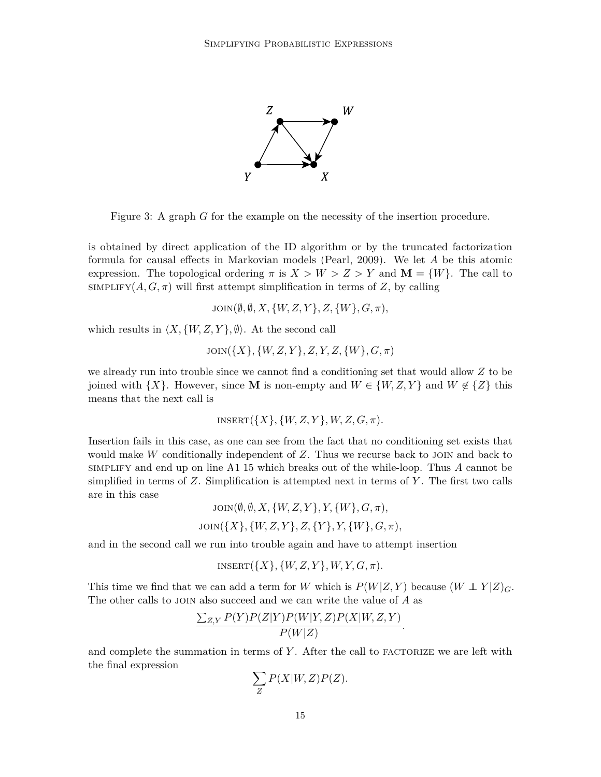<span id="page-14-0"></span>

Figure 3: A graph *G* for the example on the necessity of the insertion procedure.

is obtained by direct application of the ID algorithm or by the truncated factorization formula for causal effects in Markovian models [\(Pearl, 2009\)](#page-29-1). We let *A* be this atomic expression. The topological ordering  $\pi$  is  $X > W > Z > Y$  and  $\mathbf{M} = \{W\}$ . The call to SIMPLIFY $(A, G, \pi)$  will first attempt simplification in terms of *Z*, by calling

 $Join(\emptyset, \emptyset, X, \{W, Z, Y\}, Z, \{W\}, G, \pi),$ 

which results in  $\langle X, \{W, Z, Y\}, \emptyset \rangle$ . At the second call

 $Join({X}, {W, Z, Y}, Z, Y, Z, {W}, G, \pi)$ 

we already run into trouble since we cannot find a conditioning set that would allow *Z* to be joined with  $\{X\}$ . However, since **M** is non-empty and  $W \in \{W, Z, Y\}$  and  $W \notin \{Z\}$  this means that the next call is

$$
INSERT({X}, {W, Z, Y}, W, Z, G, \pi).
$$

Insertion fails in this case, as one can see from the fact that no conditioning set exists that would make *W* conditionally independent of *Z*. Thus we recurse back to join and back to simplify and end up on line [A1:](#page-8-0)[15](#page-7-0) which breaks out of the while-loop. Thus *A* cannot be simplified in terms of *Z*. Simplification is attempted next in terms of *Y* . The first two calls are in this case

$$
JOIN(\emptyset, \emptyset, X, \{W, Z, Y\}, Y, \{W\}, G, \pi),
$$
  

$$
JOIN(\{X\}, \{W, Z, Y\}, Z, \{Y\}, Y, \{W\}, G, \pi),
$$

and in the second call we run into trouble again and have to attempt insertion

$$
INSERT({X}, {W, Z, Y}, W, Y, G, \pi).
$$

This time we find that we can add a term for *W* which is  $P(W|Z, Y)$  because  $(W \perp Y|Z)_{G}$ . The other calls to join also succeed and we can write the value of *A* as

$$
\frac{\sum_{Z,Y} P(Y)P(Z|Y)P(W|Y,Z)P(X|W,Z,Y)}{P(W|Z)}.
$$

and complete the summation in terms of Y. After the call to FACTORIZE we are left with the final expression

$$
\sum_{Z} P(X|W,Z)P(Z).
$$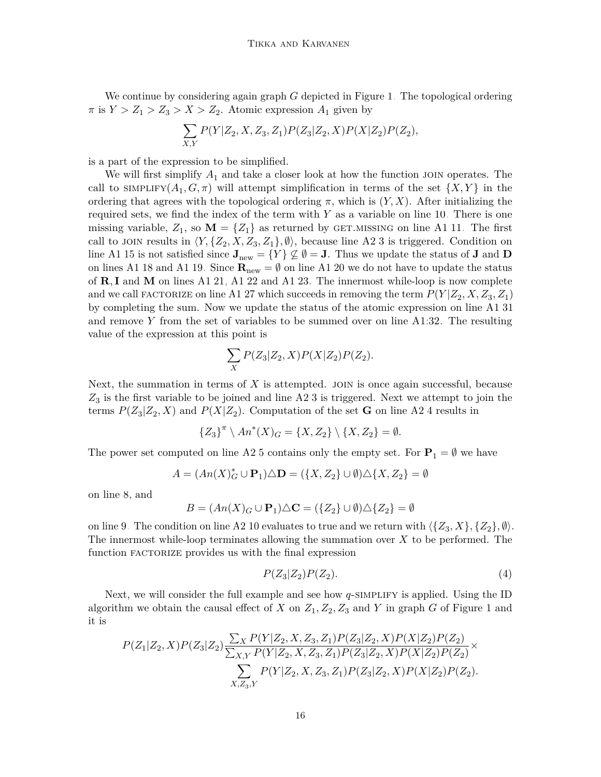We continue by considering again graph *G* depicted in Figure [1.](#page-2-0) The topological ordering  $\pi$  is  $Y > Z_1 > Z_3 > X > Z_2$ . Atomic expression  $A_1$  given by

$$
\sum_{X,Y} P(Y|Z_2, X, Z_3, Z_1) P(Z_3|Z_2, X) P(X|Z_2) P(Z_2),
$$

is a part of the expression to be simplified.

We will first simplify  $A_1$  and take a closer look at how the function JOIN operates. The call to  $\text{SIMPLIFY}(A_1, G, \pi)$  will attempt simplification in terms of the set  $\{X, Y\}$  in the ordering that agrees with the topological ordering  $\pi$ , which is  $(Y, X)$ . After initializing the required sets, we find the index of the term with *Y* as a variable on line [10.](#page-7-0) There is one missing variable,  $Z_1$ , so  $\mathbf{M} = \{Z_1\}$  as returned by GET.MISSING on line [A1](#page-8-0)[:11.](#page-7-0) The first call to JOIN results in  $\langle Y, \{Z_2, X, Z_3, Z_1\}, \emptyset \rangle$  $\langle Y, \{Z_2, X, Z_3, Z_1\}, \emptyset \rangle$  $\langle Y, \{Z_2, X, Z_3, Z_1\}, \emptyset \rangle$ , because line [A2:](#page-9-0)3 is triggered. Condition on line [A1](#page-8-0)[:15](#page-7-0) is not satisfied since  $J_{\text{new}} = \{Y\} \not\subseteq \emptyset = J$ . Thus we update the status of **J** and **D** on lines [A1](#page-8-0)[:18](#page-7-0) and [A1:](#page-8-0)[19.](#page-7-0) Since  $\mathbf{R}_{\text{new}} = \emptyset$  on line A1[:20](#page-7-0) we do not have to update the status of **R***,* **I** and **M** on lines [A1:](#page-8-0)[21,](#page-7-0) [A1:](#page-8-0)[22](#page-7-0) and [A1:](#page-8-0)[23.](#page-7-0) The innermost while-loop is now complete and we call FACTORIZE on line [A1](#page-8-0)[:27](#page-7-0) which succeeds in removing the term  $P(Y|Z_2, X, Z_3, Z_1)$ by completing the sum. Now we update the status of the atomic expression on line [A1](#page-8-0)[:31](#page-7-0) and remove *Y* from the set of variables to be summed over on line [A1:](#page-8-0)[32.](#page-7-0) The resulting value of the expression at this point is

$$
\sum_X P(Z_3|Z_2,X)P(X|Z_2)P(Z_2).
$$

Next, the summation in terms of X is attempted. JOIN is once again successful, because *Z*3 is the first variable to be joined and line [A2:](#page-9-0)[3](#page-8-0) is triggered. Next we attempt to join the terms  $P(Z_3|Z_2, X)$  and  $P(X|Z_2)$ . Computation of the set **G** on line [A2](#page-9-0)[:4](#page-8-0) results in

$$
\{Z_3\}^\pi \setminus An^*(X)_G = \{X, Z_2\} \setminus \{X, Z_2\} = \emptyset.
$$

The power set computed on line [A2:](#page-9-0)[5](#page-8-0) contains only the empty set. For  $P_1 = \emptyset$  we have

$$
A = (An(X)_{G}^{*} \cup \mathbf{P}_{1}) \triangle \mathbf{D} = (\{X, Z_{2}\} \cup \emptyset) \triangle \{X, Z_{2}\} = \emptyset
$$

on line [8,](#page-8-0) and

$$
B = (An(X)G \cup \mathbf{P}1) \triangle \mathbf{C} = (\{Z_2\} \cup \emptyset) \triangle \{Z_2\} = \emptyset
$$

on line [9.](#page-8-0) The condition on line [A2](#page-9-0)[:10](#page-8-0) evaluates to true and we return with  $\langle \{Z_3, X\}, \{Z_2\}, \emptyset \rangle$ . The innermost while-loop terminates allowing the summation over *X* to be performed. The function FACTORIZE provides us with the final expression

<span id="page-15-0"></span>
$$
P(Z_3|Z_2)P(Z_2). \t\t(4)
$$

Next, we will consider the full example and see how *q*-SIMPLIFY is applied. Using the ID algorithm we obtain the causal effect of *X* on  $Z_1$ ,  $Z_2$ ,  $Z_3$  and *Y* in graph *G* of Figure [1](#page-2-0) and it is

$$
P(Z_1|Z_2, X)P(Z_3|Z_2) \frac{\sum_{X} P(Y|Z_2, X, Z_3, Z_1)P(Z_3|Z_2, X)P(X|Z_2)P(Z_2)}{\sum_{X, Y} P(Y|Z_2, X, Z_3, Z_1)P(Z_3|Z_2, X)P(X|Z_2)P(Z_2)} \times \frac{\sum_{X, Z_3, Y} P(Y|Z_2, X, Z_3, Z_1)P(Z_3|Z_2, X)P(X|Z_2)P(Z_2)}{P(Y|Z_2, X, Z_3, Z_1)P(Z_3|Z_2, X)P(X|Z_2)P(Z_2)}.
$$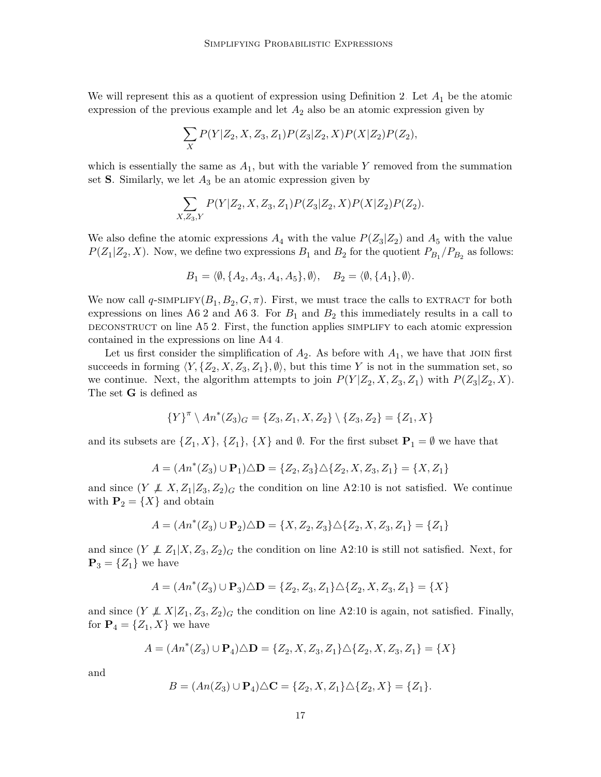We will represent this as a quotient of expression using Definition [2.](#page-3-1) Let *A*<sup>1</sup> be the atomic expression of the previous example and let  $A_2$  also be an atomic expression given by

$$
\sum_{X} P(Y|Z_2, X, Z_3, Z_1) P(Z_3|Z_2, X) P(X|Z_2) P(Z_2),
$$

which is essentially the same as  $A_1$ , but with the variable  $Y$  removed from the summation set **S**. Similarly, we let  $A_3$  be an atomic expression given by

$$
\sum_{X,Z_3,Y} P(Y|Z_2, X, Z_3, Z_1) P(Z_3|Z_2, X) P(X|Z_2) P(Z_2).
$$

We also define the atomic expressions  $A_4$  with the value  $P(Z_3|Z_2)$  and  $A_5$  with the value  $P(Z_1|Z_2, X)$ . Now, we define two expressions  $B_1$  and  $B_2$  for the quotient  $P_{B_1}/P_{B_2}$  as follows:

$$
B_1 = \langle \emptyset, \{A_2, A_3, A_4, A_5\}, \emptyset \rangle, \quad B_2 = \langle \emptyset, \{A_1\}, \emptyset \rangle.
$$

We now call  $q$ -SIMPLIFY $(B_1, B_2, G, \pi)$ . First, we must trace the calls to EXTRACT for both expressions on lines [A6:](#page-13-1)[2](#page-12-0) and [A6](#page-13-1)[:3.](#page-12-0) For  $B_1$  and  $B_2$  this immediately results in a call to DECONSTRUCT on line  $A5:2$  $A5:2$ . First, the function applies SIMPLIFY to each atomic expression contained in the expressions on line [A4](#page-11-1)[:4.](#page-11-0)

Let us first consider the simplification of  $A_2$ . As before with  $A_1$ , we have that JOIN first succeeds in forming  $\langle Y, \{Z_2, X, Z_3, Z_1\}, \emptyset \rangle$ , but this time *Y* is not in the summation set, so we continue. Next, the algorithm attempts to join  $P(Y|Z_2, X, Z_3, Z_1)$  with  $P(Z_3|Z_2, X)$ . The set **G** is defined as

$$
{Y}^{\pi} \setminus An^*(Z_3)_G = {Z_3, Z_1, X, Z_2} \setminus {Z_3, Z_2} = {Z_1, X}
$$

and its subsets are  $\{Z_1, X\}$ ,  $\{Z_1\}$ ,  $\{X\}$  and  $\emptyset$ . For the first subset  $P_1 = \emptyset$  we have that

$$
A = (An^*(Z_3) \cup \mathbf{P}_1) \triangle \mathbf{D} = \{Z_2, Z_3\} \triangle \{Z_2, X, Z_3, Z_1\} = \{X, Z_1\}
$$

and since  $(Y \not\perp X, Z_1 | Z_3, Z_2)$ <sub>G</sub> the condition on line [A2:](#page-9-0)[10](#page-8-0) is not satisfied. We continue with  $P_2 = \{X\}$  and obtain

$$
A=(An^*(Z_3)\cup {\bf P}_2)\triangle {\bf D}=\{X,Z_2,Z_3\}\triangle \{Z_2,X,Z_3,Z_1\}=\{Z_1\}
$$

and since  $(Y \not\perp Z_1 | X, Z_3, Z_2)$ <sub>G</sub> the condition on line [A2](#page-9-0)[:10](#page-8-0) is still not satisfied. Next, for  $\mathbf{P}_3 = \{Z_1\}$  we have

$$
A=(An^*(Z_3)\cup {\bf P}_3)\triangle {\bf D}=\{Z_2,Z_3,Z_1\}\triangle \{Z_2,X,Z_3,Z_1\}=\{X\}
$$

and since  $(Y \not\perp X | Z_1, Z_3, Z_2)_G$  the condition on line [A2](#page-9-0)[:10](#page-8-0) is again, not satisfied. Finally, for  $P_4 = \{Z_1, X\}$  we have

$$
A=(An^*(Z_3)\cup {\bf P}_4)\triangle {\bf D}=\{Z_2,X,Z_3,Z_1\}\triangle \{Z_2,X,Z_3,Z_1\}=\{X\}
$$

and

$$
B = (An(Z_3) \cup \mathbf{P}_4) \triangle \mathbf{C} = \{Z_2, X, Z_1\} \triangle \{Z_2, X\} = \{Z_1\}.
$$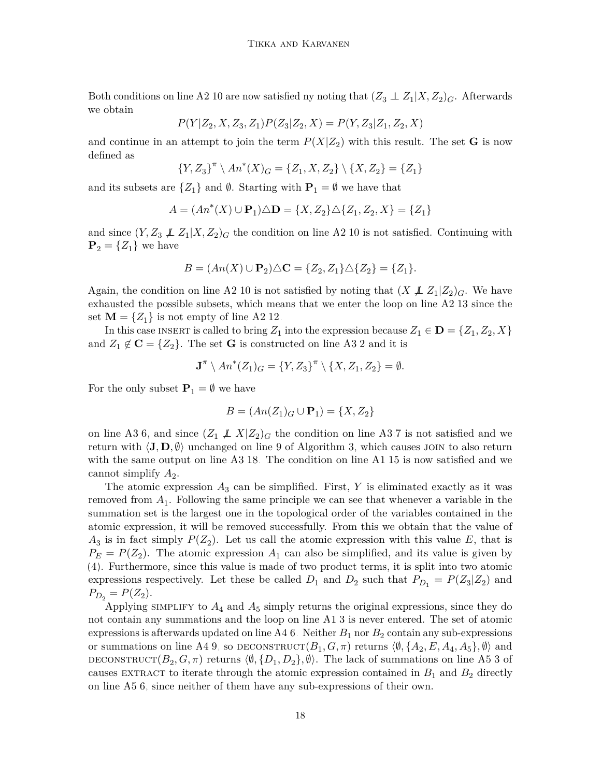Both conditions on line [A2](#page-9-0)[:10](#page-8-0) are now satisfied ny noting that  $(Z_3 \perp\!\!\!\perp Z_1 | X, Z_2)_G$ . Afterwards we obtain

$$
P(Y|Z_2, X, Z_3, Z_1)P(Z_3|Z_2, X) = P(Y, Z_3|Z_1, Z_2, X)
$$

and continue in an attempt to join the term  $P(X|Z_2)$  with this result. The set **G** is now defined as

$$
{Y, Z_3}^{\pi} \setminus An^*(X)_G = {Z_1, X, Z_2} \setminus {X, Z_2} = {Z_1}
$$

and its subsets are  $\{Z_1\}$  and  $\emptyset$ . Starting with  $P_1 = \emptyset$  we have that

$$
A = (An^*(X) \cup \mathbf{P}_1) \triangle \mathbf{D} = \{X, Z_2\} \triangle \{Z_1, Z_2, X\} = \{Z_1\}
$$

and since  $(Y, Z_3 \nperp Z_1 | X, Z_2)$ <sub>G</sub> the condition on line [A2](#page-9-0)[:10](#page-8-0) is not satisfied. Continuing with  $\mathbf{P}_2 = \{Z_1\}$  we have

$$
B = (An(X) \cup P_2) \triangle C = \{Z_2, Z_1\} \triangle \{Z_2\} = \{Z_1\}.
$$

Again, the condition on line [A2](#page-9-0)[:10](#page-8-0) is not satisfied by noting that  $(X \not\perp Z_1 | Z_2)_G$ . We have exhausted the possible subsets, which means that we enter the loop on line [A2](#page-9-0)[:13](#page-8-0) since the set  $\mathbf{M} = \{Z_1\}$  is not empty of line [A2:](#page-9-0)[12.](#page-8-0)

In this case INSERT is called to bring  $Z_1$  into the expression because  $Z_1 \in \mathbf{D} = \{Z_1, Z_2, X\}$ and  $Z_1 \notin \mathbf{C} = \{Z_2\}$ . The set **G** is constructed on line [A3](#page-10-0)[:2](#page-9-0) and it is

$$
\mathbf{J}^{\pi} \setminus An^*(Z_1)_G = \{Y, Z_3\}^{\pi} \setminus \{X, Z_1, Z_2\} = \emptyset.
$$

For the only subset  $P_1 = \emptyset$  we have

$$
B = (An(Z_1)_G \cup \mathbf{P}_1) = \{X, Z_2\}
$$

on line [A3](#page-10-0)[:6,](#page-9-0) and since  $(Z_1 \not\perp X | Z_2)_G$  the condition on line A3[:7](#page-9-0) is not satisfied and we return with  $\langle J, D, \emptyset \rangle$  unchanged on line [9](#page-9-0) of Algorithm [3,](#page-10-0) which causes JOIN to also return with the same output on line [A3:](#page-10-0)[18.](#page-8-0) The condition on line [A1:](#page-8-0)[15](#page-7-0) is now satisfied and we cannot simplify  $A_2$ .

The atomic expression  $A_3$  can be simplified. First,  $Y$  is eliminated exactly as it was removed from *A*<sup>1</sup> . Following the same principle we can see that whenever a variable in the summation set is the largest one in the topological order of the variables contained in the atomic expression, it will be removed successfully. From this we obtain that the value of  $A_3$  is in fact simply  $P(Z_2)$ . Let us call the atomic expression with this value *E*, that is  $P_E = P(Z_2)$ . The atomic expression  $A_1$  can also be simplified, and its value is given by [\(4\)](#page-15-0). Furthermore, since this value is made of two product terms, it is split into two atomic expressions respectively. Let these be called  $D_1$  and  $D_2$  such that  $P_{D_1} = P(Z_3|Z_2)$  and  $P_{D_2} = P(Z_2)$ .

Applying simplify to  $A_4$  and  $A_5$  simply returns the original expressions, since they do not contain any summations and the loop on line [A1:](#page-8-0)[3](#page-7-0) is never entered. The set of atomic expressions is afterwards updated on line  $A4:6$  $A4:6$ . Neither  $B_1$  nor  $B_2$  contain any sub-expressions or summations on line [A4:](#page-11-1)[9,](#page-11-0) so DECONSTRUCT $(B_1, G, \pi)$  returns  $\langle \emptyset, \{A_2, E, A_4, A_5\}, \emptyset \rangle$  and DECONSTRUCT $(B_2, G, \pi)$  returns  $\langle \emptyset, \{D_1, D_2\}, \emptyset \rangle$ . The lack of summations on line [A5:](#page-12-0)[3](#page-11-1) of causes EXTRACT to iterate through the atomic expression contained in  $B_1$  and  $B_2$  directly on line [A5](#page-12-0)[:6,](#page-11-1) since neither of them have any sub-expressions of their own.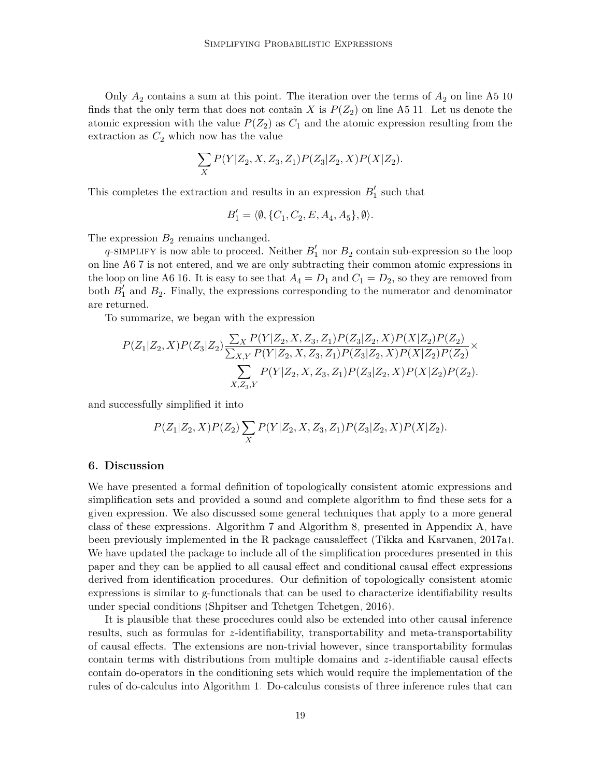Only  $A_2$  contains a sum at this point. The iteration over the terms of  $A_2$  on line [A5](#page-12-0)[:10](#page-11-1) finds that the only term that does not contain *X* is  $P(Z_2)$  on line [A5:](#page-12-0)[11.](#page-11-1) Let us denote the atomic expression with the value  $P(Z_2)$  as  $C_1$  and the atomic expression resulting from the extraction as  $C_2$  which now has the value

$$
\sum_{X} P(Y|Z_2, X, Z_3, Z_1) P(Z_3|Z_2, X) P(X|Z_2).
$$

This completes the extraction and results in an expression  $B'_1$  such that

$$
B_1' = \langle \emptyset, \{C_1, C_2, E, A_4, A_5\}, \emptyset \rangle.
$$

The expression  $B_2$  remains unchanged.

 $q$ -simplify is now able to proceed. Neither  $B'_{1}$  nor  $B_{2}$  contain sub-expression so the loop on line [A6](#page-13-1)[:7](#page-12-0) is not entered, and we are only subtracting their common atomic expressions in the loop on line [A6:](#page-13-1)[16.](#page-12-0) It is easy to see that  $A_4 = D_1$  and  $C_1 = D_2$ , so they are removed from both  $B_1'$  and  $B_2$ . Finally, the expressions corresponding to the numerator and denominator are returned.

To summarize, we began with the expression

$$
P(Z_1|Z_2, X)P(Z_3|Z_2) \frac{\sum_{X} P(Y|Z_2, X, Z_3, Z_1) P(Z_3|Z_2, X) P(X|Z_2) P(Z_2)}{\sum_{X, Y} P(Y|Z_2, X, Z_3, Z_1) P(Z_3|Z_2, X) P(X|Z_2) P(Z_2)} \times \frac{\sum_{X, Z_3, Y} P(Y|Z_2, X, Z_3, Z_1) P(Z_3|Z_2, X) P(X|Z_2) P(Z_2)}{P(Y|Z_2, X, Z_3, Z_1) P(Z_3|Z_2, X) P(X|Z_2) P(Z_2)}.
$$

and successfully simplified it into

$$
P(Z_1|Z_2, X)P(Z_2) \sum_X P(Y|Z_2, X, Z_3, Z_1)P(Z_3|Z_2, X)P(X|Z_2).
$$

#### **6. Discussion**

We have presented a formal definition of topologically consistent atomic expressions and simplification sets and provided a sound and complete algorithm to find these sets for a given expression. We also discussed some general techniques that apply to a more general class of these expressions. Algorithm [7](#page-21-0) and Algorithm [8,](#page-22-0) presented in Appendix [A,](#page-0-0) have been previously implemented in the R package causaleffect [\(Tikka and Karvanen, 2017a\)](#page-29-4). We have updated the package to include all of the simplification procedures presented in this paper and they can be applied to all causal effect and conditional causal effect expressions derived from identification procedures. Our definition of topologically consistent atomic expressions is similar to g-functionals that can be used to characterize identifiability results under special conditions [\(Shpitser and Tchetgen Tchetgen, 2016\)](#page-29-9).

It is plausible that these procedures could also be extended into other causal inference results, such as formulas for *z*-identifiability, transportability and meta-transportability of causal effects. The extensions are non-trivial however, since transportability formulas contain terms with distributions from multiple domains and *z*-identifiable causal effects contain do-operators in the conditioning sets which would require the implementation of the rules of do-calculus into Algorithm [1.](#page-8-0) Do-calculus consists of three inference rules that can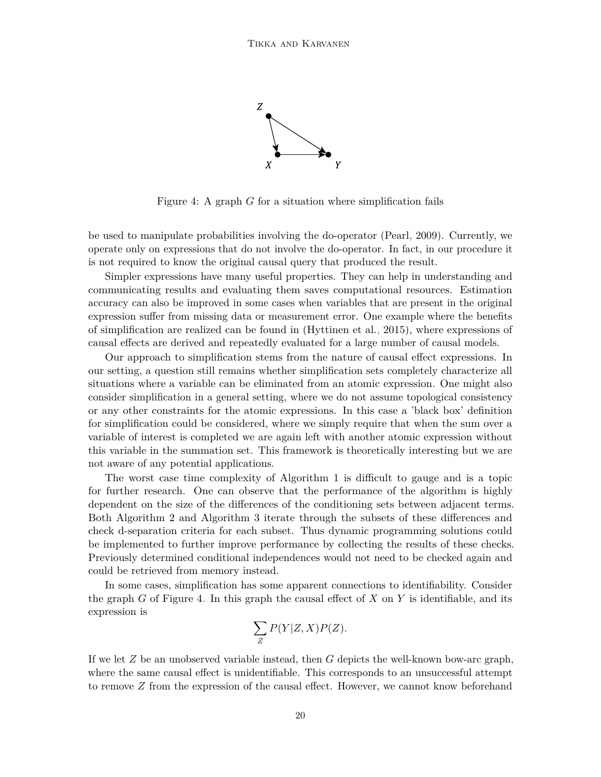<span id="page-19-0"></span>

Figure 4: A graph *G* for a situation where simplification fails

be used to manipulate probabilities involving the do-operator [\(Pearl, 2009\)](#page-29-1). Currently, we operate only on expressions that do not involve the do-operator. In fact, in our procedure it is not required to know the original causal query that produced the result.

Simpler expressions have many useful properties. They can help in understanding and communicating results and evaluating them saves computational resources. Estimation accuracy can also be improved in some cases when variables that are present in the original expression suffer from missing data or measurement error. One example where the benefits of simplification are realized can be found in [\(Hyttinen et al., 2015\)](#page-28-11), where expressions of causal effects are derived and repeatedly evaluated for a large number of causal models.

Our approach to simplification stems from the nature of causal effect expressions. In our setting, a question still remains whether simplification sets completely characterize all situations where a variable can be eliminated from an atomic expression. One might also consider simplification in a general setting, where we do not assume topological consistency or any other constraints for the atomic expressions. In this case a 'black box' definition for simplification could be considered, where we simply require that when the sum over a variable of interest is completed we are again left with another atomic expression without this variable in the summation set. This framework is theoretically interesting but we are not aware of any potential applications.

The worst case time complexity of Algorithm [1](#page-8-0) is difficult to gauge and is a topic for further research. One can observe that the performance of the algorithm is highly dependent on the size of the differences of the conditioning sets between adjacent terms. Both Algorithm [2](#page-9-0) and Algorithm [3](#page-10-0) iterate through the subsets of these differences and check d-separation criteria for each subset. Thus dynamic programming solutions could be implemented to further improve performance by collecting the results of these checks. Previously determined conditional independences would not need to be checked again and could be retrieved from memory instead.

In some cases, simplification has some apparent connections to identifiability. Consider the graph *G* of Figure [4.](#page-19-0) In this graph the causal effect of *X* on *Y* is identifiable, and its expression is

$$
\sum_{Z} P(Y|Z,X)P(Z).
$$

If we let *Z* be an unobserved variable instead, then *G* depicts the well-known bow-arc graph, where the same causal effect is unidentifiable. This corresponds to an unsuccessful attempt to remove *Z* from the expression of the causal effect. However, we cannot know beforehand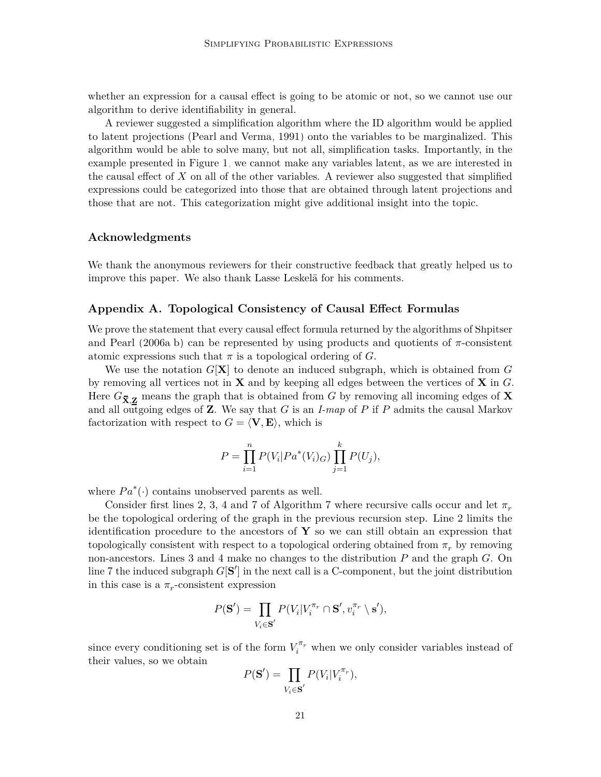whether an expression for a causal effect is going to be atomic or not, so we cannot use our algorithm to derive identifiability in general.

A reviewer suggested a simplification algorithm where the ID algorithm would be applied to latent projections [\(Pearl and Verma, 1991\)](#page-29-10) onto the variables to be marginalized. This algorithm would be able to solve many, but not all, simplification tasks. Importantly, in the example presented in Figure [1,](#page-2-0) we cannot make any variables latent, as we are interested in the causal effect of *X* on all of the other variables. A reviewer also suggested that simplified expressions could be categorized into those that are obtained through latent projections and those that are not. This categorization might give additional insight into the topic.

#### **Acknowledgments**

We thank the anonymous reviewers for their constructive feedback that greatly helped us to improve this paper. We also thank Lasse Leskelä for his comments.

#### **Appendix A. Topological Consistency of Causal Effect Formulas**

We prove the statement that every causal effect formula returned by the algorithms of [Shpitser](#page-29-2) [and Pearl](#page-29-2)  $(2006a,b)$  $(2006a,b)$  can be represented by using products and quotients of  $\pi$ -consistent atomic expressions such that  $\pi$  is a topological ordering of *G*.

We use the notation  $G[X]$  to denote an induced subgraph, which is obtained from  $G$ by removing all vertices not in **X** and by keeping all edges between the vertices of **X** in *G*. Here  $G_{\bar{X},Z}$  means the graph that is obtained from *G* by removing all incoming edges of **X** and all outgoing edges of **Z**. We say that *G* is an *I-map* of *P* if *P* admits the causal Markov factorization with respect to  $G = \langle V, E \rangle$ , which is

$$
P = \prod_{i=1}^{n} P(V_i | Pa^*(V_i)_{G}) \prod_{j=1}^{k} P(U_j),
$$

where  $Pa^*(\cdot)$  contains unobserved parents as well.

Consider first lines 2, 3, 4 and 7 of Algorithm [7](#page-21-0) where recursive calls occur and let *π<sup>r</sup>* be the topological ordering of the graph in the previous recursion step. Line 2 limits the identification procedure to the ancestors of **Y** so we can still obtain an expression that topologically consistent with respect to a topological ordering obtained from  $\pi_r$  by removing non-ancestors. Lines 3 and 4 make no changes to the distribution *P* and the graph *G*. On line 7 the induced subgraph  $G[S']$  in the next call is a C-component, but the joint distribution in this case is a  $\pi_r$ -consistent expression

$$
P(\mathbf{S}') = \prod_{V_i \in \mathbf{S}'} P(V_i | V_i^{\pi_r} \cap \mathbf{S}', v_i^{\pi_r} \setminus \mathbf{s}'),
$$

since every conditioning set is of the form  $V_i^{\pi_r}$  when we only consider variables instead of their values, so we obtain

$$
P(\mathbf{S}') = \prod_{V_i \in \mathbf{S}'} P(V_i | V_i^{\pi_r}),
$$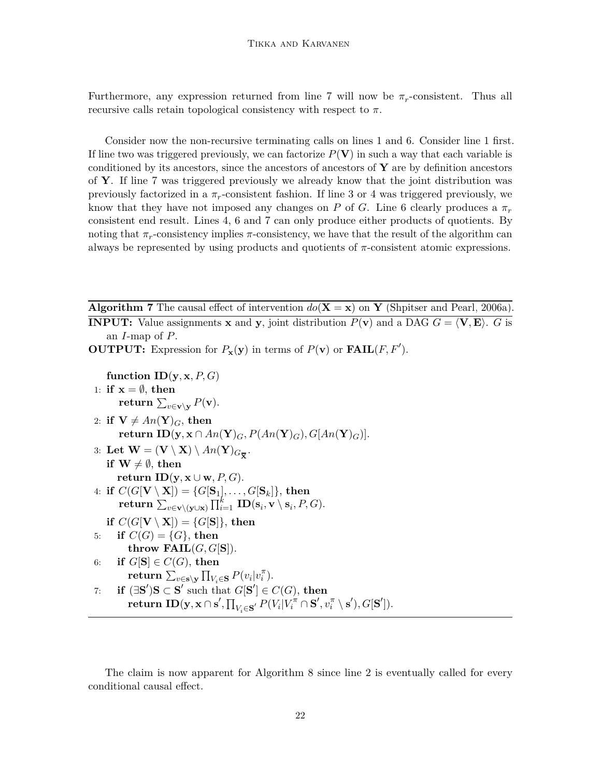Furthermore, any expression returned from line 7 will now be  $\pi_r$ -consistent. Thus all recursive calls retain topological consistency with respect to *π*.

Consider now the non-recursive terminating calls on lines 1 and 6. Consider line 1 first. If line two was triggered previously, we can factorize  $P(V)$  in such a way that each variable is conditioned by its ancestors, since the ancestors of ancestors of **Y** are by definition ancestors of **Y**. If line 7 was triggered previously we already know that the joint distribution was previously factorized in a  $\pi_r$ -consistent fashion. If line 3 or 4 was triggered previously, we know that they have not imposed any changes on *P* of *G*. Line 6 clearly produces a *π<sup>r</sup>* consistent end result. Lines 4, 6 and 7 can only produce either products of quotients. By noting that  $\pi_r$ -consistency implies  $\pi$ -consistency, we have that the result of the algorithm can always be represented by using products and quotients of  $\pi$ -consistent atomic expressions.

**Algorithm 7** The causal effect of intervention  $do(X = x)$  on **Y** [\(Shpitser and Pearl, 2006a\)](#page-29-2). **INPUT:** Value assignments **x** and **y**, joint distribution  $P(\mathbf{v})$  and a DAG  $G = \langle \mathbf{V}, \mathbf{E} \rangle$ . *G* is

an *I*-map of *P*.

**OUTPUT:** Expression for  $P_{\mathbf{x}}(\mathbf{y})$  in terms of  $P(\mathbf{v})$  or  $\textbf{FAIL}(F, F')$ .

**function**  $\mathbf{ID}(\mathbf{y}, \mathbf{x}, P, G)$ 1: **if**  $x = \emptyset$ , **then**  $\mathbf{return} \, \sum_{v \in \mathbf{v} \setminus \mathbf{y}} P(\mathbf{v}).$ 2: **if**  $V \neq An(Y)<sub>G</sub>$ , then  $\textbf{return } \textbf{ID}(\textbf{y}, \textbf{x} \cap An(\textbf{Y})_G, P(An(\textbf{Y})_G), G[An(\textbf{Y})_G)].$ 3: Let  $\mathbf{W} = (\mathbf{V} \setminus \mathbf{X}) \setminus An(\mathbf{Y})_{G_{\overline{\mathbf{X}}}}.$ **if**  $W \neq \emptyset$ , then **return ID**( $\mathbf{y}, \mathbf{x} \cup \mathbf{w}, P, G$ ).  $4: \textbf{ if } C(G[\textbf{V}\setminus \textbf{X}]) = \{G[\textbf{S}_1],\ldots,G[\textbf{S}_k]\}, \textbf{ then}$  $\textbf{return } \sum_{v \in \mathbf{v} \setminus (\mathbf{y} \cup \mathbf{x})} \prod_{i=1}^k \textbf{ID}(\mathbf{s}_i, \mathbf{v} \setminus \mathbf{s}_i, P, G).$ **if**  $C(G[V \setminus X]) = \{G[S]\},\$  then 5: **if**  $C(G) = \{G\}$ , then **throw FAIL** $(G, G[S])$ . 6: **if**  $G[S] \in C(G)$ , then  $\textbf{return } \sum_{v \in \mathbf{s} \setminus \mathbf{y}} \prod_{V_i \in \mathbf{S}} P(v_i|v_i^{\pi}).$ 7: **if**  $(\exists \mathbf{S}')\mathbf{S} \subset \mathbf{S}'$  such that  $G[\mathbf{S}'] \in C(G)$ , then  $\textbf{return ID}(\textbf{y},\textbf{x} \cap \textbf{s}',\textstyle\prod_{V_i \in \textbf{S}'} P(V_i|V_i^{\pi} \cap \textbf{S}',v_i^{\pi} \setminus \textbf{s}'),G[\textbf{S}']).$ 

<span id="page-21-0"></span>The claim is now apparent for Algorithm [8](#page-22-0) since line [2](#page-21-0) is eventually called for every conditional causal effect.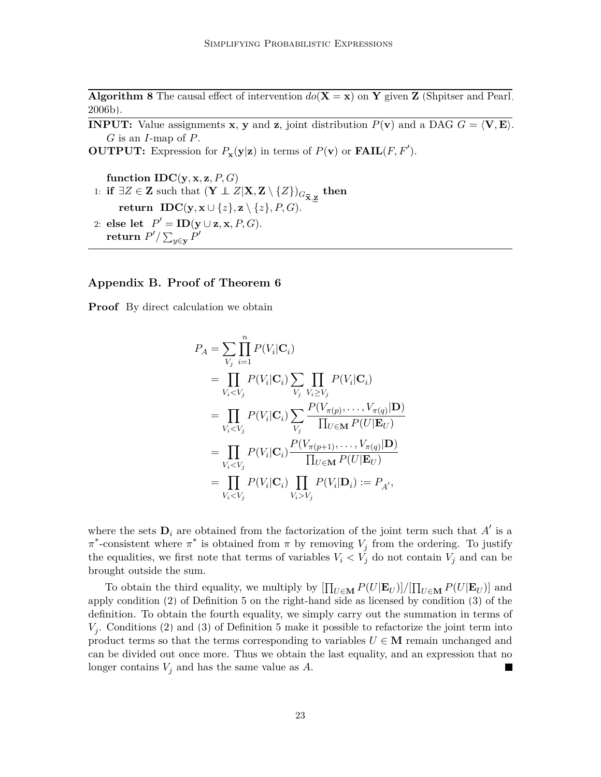**Algorithm 8** The causal effect of intervention  $do(X = x)$  on Y given Z [\(Shpitser and Pearl,](#page-29-3) [2006b\)](#page-29-3).

**INPUT:** Value assignments **x**, **y** and **z**, joint distribution  $P(\mathbf{v})$  and a DAG  $G = \langle \mathbf{V}, \mathbf{E} \rangle$ . *G* is an *I*-map of *P*.

**OUTPUT:** Expression for  $P_{\mathbf{x}}(\mathbf{y}|\mathbf{z})$  in terms of  $P(\mathbf{v})$  or  $\textbf{FAIL}(F, F')$ .

function  $IDC(y, x, z, P, G)$ 1: **if** ∃*Z* ∈ **Z** such that  $(\mathbf{Y} \perp Z | \mathbf{X}, \mathbf{Z} \setminus \{Z\})_{G_{\overline{\mathbf{X}}, \mathbf{Z}}}$  then **return IDC**( $\mathbf{y}, \mathbf{x} \cup \{z\}, \mathbf{z} \setminus \{z\}, P, G$ ). 2: **else** let  $P' = \textbf{ID}(\mathbf{y} \cup \mathbf{z}, \mathbf{x}, P, G)$ .  $\mathbf{return} \; P' / \sum_{y \in \mathbf{y}} P'$ 

#### <span id="page-22-0"></span>**Appendix B. Proof of Theorem [6](#page-6-2)**

**Proof** By direct calculation we obtain

$$
P_A = \sum_{V_j} \prod_{i=1}^n P(V_i | \mathbf{C}_i)
$$
  
\n
$$
= \prod_{V_i < V_j} P(V_i | \mathbf{C}_i) \sum_{V_j} \prod_{V_i \ge V_j} P(V_i | \mathbf{C}_i)
$$
  
\n
$$
= \prod_{V_i < V_j} P(V_i | \mathbf{C}_i) \sum_{V_j} \frac{P(V_{\pi(p)}, \dots, V_{\pi(q)} | \mathbf{D})}{\prod_{U \in \mathbf{M}} P(U | \mathbf{E}_U)}
$$
  
\n
$$
= \prod_{V_i < V_j} P(V_i | \mathbf{C}_i) \frac{P(V_{\pi(p+1)}, \dots, V_{\pi(q)} | \mathbf{D})}{\prod_{U \in \mathbf{M}} P(U | \mathbf{E}_U)}
$$
  
\n
$$
= \prod_{V_i < V_j} P(V_i | \mathbf{C}_i) \prod_{V_i > V_j} P(V_i | \mathbf{D}_i) := P_{A'},
$$

where the sets  $\mathbf{D}_i$  are obtained from the factorization of the joint term such that  $A'$  is a  $\pi^*$ -consistent where  $\pi^*$  is obtained from  $\pi$  by removing  $V_j$  from the ordering. To justify the equalities, we first note that terms of variables  $V_i < V_j$  do not contain  $V_j$  and can be brought outside the sum.

To obtain the third equality, we multiply by  $\left[\prod_{U \in \mathbf{M}} P(U|\mathbf{E}_U)\right] / \left[\prod_{U \in \mathbf{M}} P(U|\mathbf{E}_U)\right]$  and apply condition [\(2\)](#page-6-0) of Definition [5](#page-5-1) on the right-hand side as licensed by condition [\(3\)](#page-6-1) of the definition. To obtain the fourth equality, we simply carry out the summation in terms of *Vj* . Conditions [\(2\)](#page-6-0) and [\(3\)](#page-6-1) of Definition [5](#page-5-1) make it possible to refactorize the joint term into product terms so that the terms corresponding to variables  $U \in \mathbf{M}$  remain unchanged and can be divided out once more. Thus we obtain the last equality, and an expression that no longer contains  $V_j$  and has the same value as  $A$ .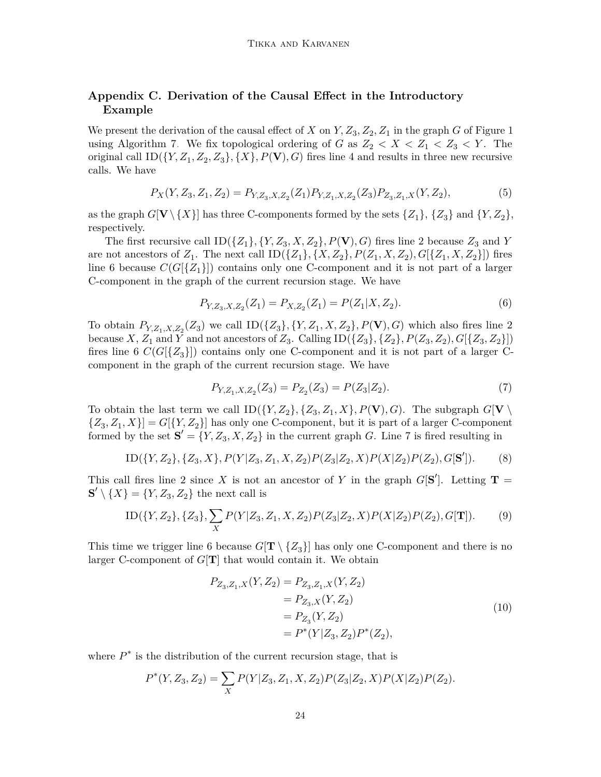## **Appendix C. Derivation of the Causal Effect in the Introductory Example**

We present the derivation of the causal effect of *X* on  $Y, Z_3, Z_2, Z_1$  in the graph *G* of Figure [1](#page-2-0) using Algorithm [7.](#page-21-0) We fix topological ordering of *G* as  $Z_2 < X < Z_1 < Z_3 < Y$ . The original call  $ID({Y, Z_1, Z_2, Z_3}, {X}, {Y}, P(\mathbf{V}), G)$  fires line 4 and results in three new recursive calls. We have

<span id="page-23-3"></span>
$$
P_X(Y, Z_3, Z_1, Z_2) = P_{Y, Z_3, X, Z_2}(Z_1) P_{Y, Z_1, X, Z_2}(Z_3) P_{Z_3, Z_1, X}(Y, Z_2),
$$
\n
$$
(5)
$$

as the graph  $G[V \setminus \{X\}]$  has three C-components formed by the sets  $\{Z_1\}$ ,  $\{Z_3\}$  and  $\{Y, Z_2\}$ , respectively.

The first recursive call  $ID({Z_1}, {Y, Z_3, X, Z_2}, P(\mathbf{V}), G)$  fires line 2 because  $Z_3$  and *Y* are not ancestors of  $Z_1$ . The next call  $ID({Z_1}, {X, Z_2}, P(Z_1, X, Z_2), G[{Z_1, X, Z_2}])$  fires line 6 because  $C(G[\{Z_1\}])$  contains only one C-component and it is not part of a larger C-component in the graph of the current recursion stage. We have

<span id="page-23-1"></span>
$$
P_{Y,Z_3,X,Z_2}(Z_1) = P_{X,Z_2}(Z_1) = P(Z_1|X,Z_2). \tag{6}
$$

To obtain  $P_{Y,Z_1,X,Z_2}(Z_3)$  we call  $ID({Z_3}, {Y, Z_1, X, Z_2}, P(\mathbf{V}), G)$  which also fires line 2 because  $X$ ,  $Z_1$  and  $\overline{Y}$  and not ancestors of  $Z_3$ . Calling  $ID({Z_3}, {Z_2}, P(Z_3, Z_2), G[{Z_3}, Z_2\}])$ fires line 6  $C(G[\{Z_3\}])$  contains only one C-component and it is not part of a larger Ccomponent in the graph of the current recursion stage. We have

<span id="page-23-2"></span>
$$
P_{Y,Z_1,X,Z_2}(Z_3) = P_{Z_2}(Z_3) = P(Z_3|Z_2). \tag{7}
$$

To obtain the last term we call  $ID({Y, Z_2}, {Z_3, Z_1, X}, P(\mathbf{V}), G)$ . The subgraph  $G[\mathbf{V} \setminus$  $\{Z_3, Z_1, X\}$  =  $G[\{Y, Z_2\}]$  has only one C-component, but it is part of a larger C-component formed by the set  $\mathbf{S}' = \{Y, Z_3, X, Z_2\}$  in the current graph *G*. Line 7 is fired resulting in

$$
ID({Y,Z2}, {Z3, X}, P(Y|Z3, Z1, X, Z2)P(Z3|Z2, X)P(X|Z2)P(Z2), G[\mathbf{S}']). (8)
$$

This call fires line 2 since X is not an ancestor of Y in the graph  $G[\mathbf{S}']$ . Letting **T** =  $\mathbf{S}' \setminus \{X\} = \{Y, Z_3, Z_2\}$  the next call is

$$
ID({Y, Z2}, {Z3}, \sum_{X} P(Y|Z3, Z1, X, Z2) P(Z3|Z2, X) P(X|Z2) P(Z2), G[\mathbf{T}]).
$$
 (9)

This time we trigger line 6 because  $G[\mathbf{T} \setminus \{Z_3\}]$  has only one C-component and there is no larger C-component of *G*[**T**] that would contain it. We obtain

<span id="page-23-0"></span>
$$
P_{Z_3, Z_1, X}(Y, Z_2) = P_{Z_3, Z_1, X}(Y, Z_2)
$$
  
=  $P_{Z_3, X}(Y, Z_2)$   
=  $P_{Z_3}(Y, Z_2)$   
=  $P^*(Y|Z_3, Z_2)P^*(Z_2),$  (10)

where  $P^*$  is the distribution of the current recursion stage, that is

$$
P^*(Y, Z_3, Z_2) = \sum_X P(Y|Z_3, Z_1, X, Z_2) P(Z_3|Z_2, X) P(X|Z_2) P(Z_2).
$$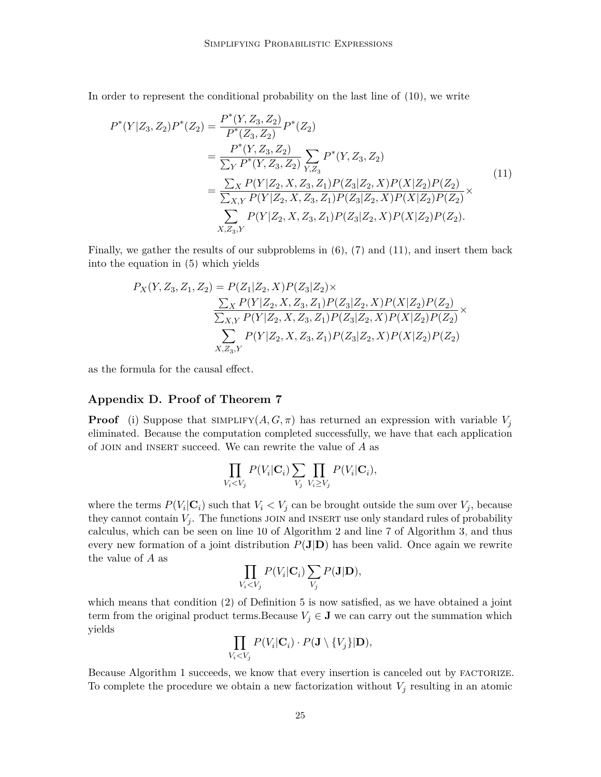In order to represent the conditional probability on the last line of [\(10\)](#page-23-0), we write

<span id="page-24-0"></span>
$$
P^*(Y|Z_3, Z_2)P^*(Z_2) = \frac{P^*(Y, Z_3, Z_2)}{P^*(Z_3, Z_2)} P^*(Z_2)
$$
  
= 
$$
\frac{P^*(Y, Z_3, Z_2)}{\sum_{Y} P^*(Y, Z_3, Z_2)} \sum_{Y, Z_3} P^*(Y, Z_3, Z_2)
$$
  
= 
$$
\frac{\sum_{X} P(Y|Z_2, X, Z_3, Z_1) P(Z_3|Z_2, X) P(X|Z_2) P(Z_2)}{\sum_{X, Y} P(Y|Z_2, X, Z_3, Z_1) P(Z_3|Z_2, X) P(X|Z_2) P(Z_2)} \times \sum_{X, Z_3, Y} P(Y|Z_2, X, Z_3, Z_1) P(Z_3|Z_2, X) P(X|Z_2) P(Z_2).
$$
 (11)

Finally, we gather the results of our subproblems in [\(6\)](#page-23-1), [\(7\)](#page-23-2) and [\(11\)](#page-24-0), and insert them back into the equation in [\(5\)](#page-23-3) which yields

$$
P_X(Y, Z_3, Z_1, Z_2) = P(Z_1|Z_2, X)P(Z_3|Z_2) \times
$$
  
\n
$$
\frac{\sum_X P(Y|Z_2, X, Z_3, Z_1)P(Z_3|Z_2, X)P(X|Z_2)P(Z_2)}{\sum_{X, Y} P(Y|Z_2, X, Z_3, Z_1)P(Z_3|Z_2, X)P(X|Z_2)P(Z_2)} \times
$$
  
\n
$$
\sum_{X, Z_3, Y} P(Y|Z_2, X, Z_3, Z_1)P(Z_3|Z_2, X)P(X|Z_2)P(Z_2)
$$

as the formula for the causal effect.

## **Appendix D. Proof of Theorem [7](#page-10-1)**

**Proof** (i) Suppose that  $\text{SIMPLIFY}(A, G, \pi)$  has returned an expression with variable  $V_i$ eliminated. Because the computation completed successfully, we have that each application of join and insert succeed. We can rewrite the value of *A* as

$$
\prod_{V_i < V_j} P(V_i | \mathbf{C}_i) \sum_{V_j} \prod_{V_i \ge V_j} P(V_i | \mathbf{C}_i),
$$

where the terms  $P(V_i|\mathbf{C}_i)$  such that  $V_i < V_j$  can be brought outside the sum over  $V_j$ , because they cannot contain  $V_j$ . The functions JOIN and INSERT use only standard rules of probability calculus, which can be seen on line [10](#page-8-0) of Algorithm [2](#page-9-0) and line [7](#page-9-0) of Algorithm [3,](#page-10-0) and thus every new formation of a joint distribution  $P(\mathbf{J}|\mathbf{D})$  has been valid. Once again we rewrite the value of *A* as

$$
\prod_{V_i < V_j} P(V_i | \mathbf{C}_i) \sum_{V_j} P(\mathbf{J} | \mathbf{D}),
$$

which means that condition [\(2\)](#page-6-0) of Definition [5](#page-5-1) is now satisfied, as we have obtained a joint term from the original product terms.Because  $V_j \in \mathbf{J}$  we can carry out the summation which yields

$$
\prod_{V_i < V_j} P(V_i | \mathbf{C}_i) \cdot P(\mathbf{J} \setminus \{V_j\} | \mathbf{D}),
$$

Because Algorithm [1](#page-8-0) succeeds, we know that every insertion is canceled out by FACTORIZE. To complete the procedure we obtain a new factorization without  $V_j$  resulting in an atomic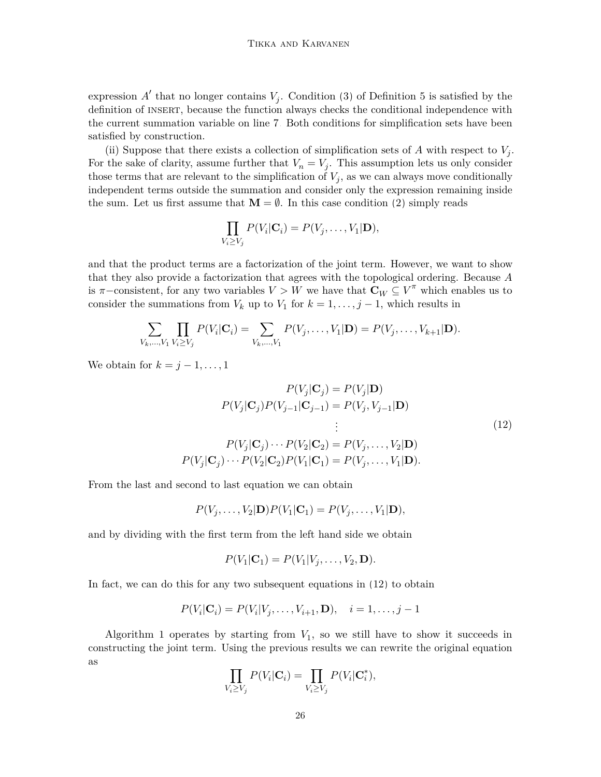expression  $A'$  that no longer contains  $V_j$ . Condition [\(3\)](#page-6-1) of Definition [5](#page-5-1) is satisfied by the definition of insert, because the function always checks the conditional independence with the current summation variable on line [7.](#page-9-0) Both conditions for simplification sets have been satisfied by construction.

(ii) Suppose that there exists a collection of simplification sets of  $A$  with respect to  $V_j$ . For the sake of clarity, assume further that  $V_n = V_j$ . This assumption lets us only consider those terms that are relevant to the simplification of  $V_j$ , as we can always move conditionally independent terms outside the summation and consider only the expression remaining inside the sum. Let us first assume that  $M = \emptyset$ . In this case condition [\(2\)](#page-6-0) simply reads

$$
\prod_{V_i \geq V_j} P(V_i | \mathbf{C}_i) = P(V_j, \dots, V_1 | \mathbf{D}),
$$

and that the product terms are a factorization of the joint term. However, we want to show that they also provide a factorization that agrees with the topological ordering. Because *A* is  $\pi$ −consistent, for any two variables  $V > W$  we have that  $\mathbf{C}_W \subseteq V^{\pi}$  which enables us to consider the summations from  $V_k$  up to  $V_1$  for  $k = 1, \ldots, j - 1$ , which results in

$$
\sum_{V_k,...,V_1} \prod_{V_i \geq V_j} P(V_i | \mathbf{C}_i) = \sum_{V_k,...,V_1} P(V_j,...,V_1 | \mathbf{D}) = P(V_j,...,V_{k+1} | \mathbf{D}).
$$

We obtain for  $k = j - 1, \ldots, 1$ 

$$
P(V_j | \mathbf{C}_j) = P(V_j | \mathbf{D})
$$
  
\n
$$
P(V_j | \mathbf{C}_j) P(V_{j-1} | \mathbf{C}_{j-1}) = P(V_j, V_{j-1} | \mathbf{D})
$$
  
\n
$$
\vdots
$$
  
\n
$$
P(V_j | \mathbf{C}_j) \cdots P(V_2 | \mathbf{C}_2) = P(V_j, \dots, V_2 | \mathbf{D})
$$
  
\n
$$
P(V_j | \mathbf{C}_j) \cdots P(V_2 | \mathbf{C}_2) P(V_1 | \mathbf{C}_1) = P(V_j, \dots, V_1 | \mathbf{D}).
$$
  
\n(12)

From the last and second to last equation we can obtain

$$
P(V_j,\ldots,V_2|\mathbf{D})P(V_1|\mathbf{C}_1)=P(V_j,\ldots,V_1|\mathbf{D}),
$$

and by dividing with the first term from the left hand side we obtain

<span id="page-25-0"></span>
$$
P(V_1|\mathbf{C}_1) = P(V_1|V_j,\ldots,V_2,\mathbf{D}).
$$

In fact, we can do this for any two subsequent equations in [\(12\)](#page-25-0) to obtain

$$
P(V_i|C_i) = P(V_i|V_j, \ldots, V_{i+1}, D), \quad i = 1, \ldots, j-1
$$

Algorithm [1](#page-8-0) operates by starting from  $V_1$ , so we still have to show it succeeds in constructing the joint term. Using the previous results we can rewrite the original equation as

$$
\prod_{V_i \ge V_j} P(V_i | \mathbf{C}_i) = \prod_{V_i \ge V_j} P(V_i | \mathbf{C}_i^*),
$$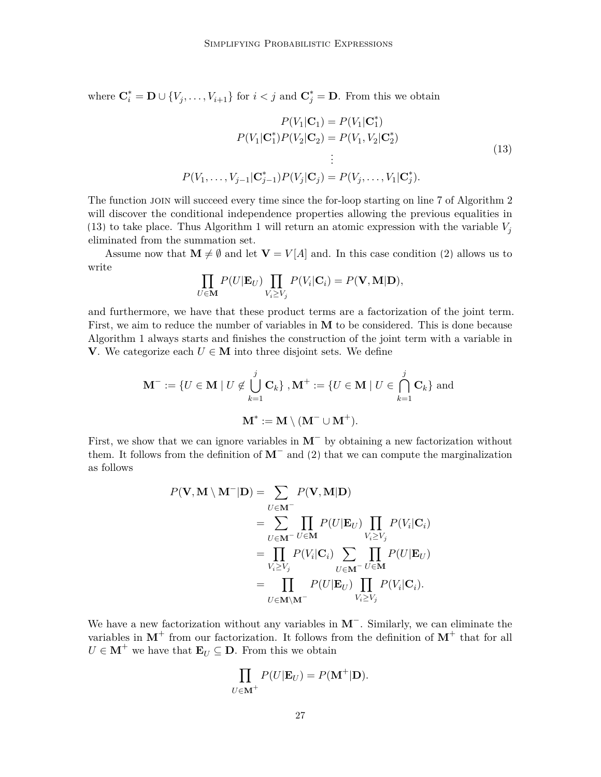where  $\mathbf{C}_i^* = \mathbf{D} \cup \{V_j, \ldots, V_{i+1}\}\$  for  $i < j$  and  $\mathbf{C}_j^* = \mathbf{D}$ . From this we obtain

<span id="page-26-0"></span>
$$
P(V_1 | \mathbf{C}_1) = P(V_1 | \mathbf{C}_1^*)
$$
  
\n
$$
P(V_1 | \mathbf{C}_1^*) P(V_2 | \mathbf{C}_2) = P(V_1, V_2 | \mathbf{C}_2^*)
$$
  
\n
$$
\vdots
$$
  
\n
$$
P(V_1, \dots, V_{j-1} | \mathbf{C}_{j-1}^*) P(V_j | \mathbf{C}_j) = P(V_j, \dots, V_1 | \mathbf{C}_j^*).
$$
\n(13)

The function join will succeed every time since the for-loop starting on line [7](#page-8-0) of Algorithm [2](#page-9-0) will discover the conditional independence properties allowing the previous equalities in [\(13\)](#page-26-0) to take place. Thus Algorithm [1](#page-8-0) will return an atomic expression with the variable  $V_j$ eliminated from the summation set.

Assume now that  $\mathbf{M} \neq \emptyset$  and let  $\mathbf{V} = V[A]$  and. In this case condition [\(2\)](#page-6-0) allows us to write

$$
\prod_{U \in \mathbf{M}} P(U|\mathbf{E}_U) \prod_{V_i \ge V_j} P(V_i|\mathbf{C}_i) = P(\mathbf{V}, \mathbf{M}|\mathbf{D}),
$$

and furthermore, we have that these product terms are a factorization of the joint term. First, we aim to reduce the number of variables in **M** to be considered. This is done because Algorithm [1](#page-8-0) always starts and finishes the construction of the joint term with a variable in **V**. We categorize each  $U$  ∈ **M** into three disjoint sets. We define

$$
\mathbf{M}^- := \{ U \in \mathbf{M} \mid U \notin \bigcup_{k=1}^j \mathbf{C}_k \}, \mathbf{M}^+ := \{ U \in \mathbf{M} \mid U \in \bigcap_{k=1}^j \mathbf{C}_k \} \text{ and }
$$

$$
\mathbf{M}^* := \mathbf{M} \setminus (\mathbf{M}^- \cup \mathbf{M}^+).
$$

First, we show that we can ignore variables in **M**<sup>−</sup> by obtaining a new factorization without them. It follows from the definition of **M**<sup>−</sup> and [\(2\)](#page-6-0) that we can compute the marginalization as follows

$$
P(\mathbf{V}, \mathbf{M} \setminus \mathbf{M}^- | \mathbf{D}) = \sum_{U \in \mathbf{M}^-} P(\mathbf{V}, \mathbf{M} | \mathbf{D})
$$
  
= 
$$
\sum_{U \in \mathbf{M}^-} \prod_{U \in \mathbf{M}} P(U | \mathbf{E}_U) \prod_{V_i \ge V_j} P(V_i | \mathbf{C}_i)
$$
  
= 
$$
\prod_{V_i \ge V_j} P(V_i | \mathbf{C}_i) \sum_{U \in \mathbf{M}^-} \prod_{U \in \mathbf{M}} P(U | \mathbf{E}_U)
$$
  
= 
$$
\prod_{U \in \mathbf{M} \setminus \mathbf{M}^-} P(U | \mathbf{E}_U) \prod_{V_i \ge V_j} P(V_i | \mathbf{C}_i).
$$

We have a new factorization without any variables in **M**<sup>−</sup> . Similarly, we can eliminate the variables in  $M^+$  from our factorization. It follows from the definition of  $M^+$  that for all  $U \in M^+$  we have that  $\mathbf{E}_U \subseteq \mathbf{D}$ . From this we obtain

$$
\prod_{U \in \mathbf{M}^+} P(U|\mathbf{E}_U) = P(\mathbf{M}^+|\mathbf{D}).
$$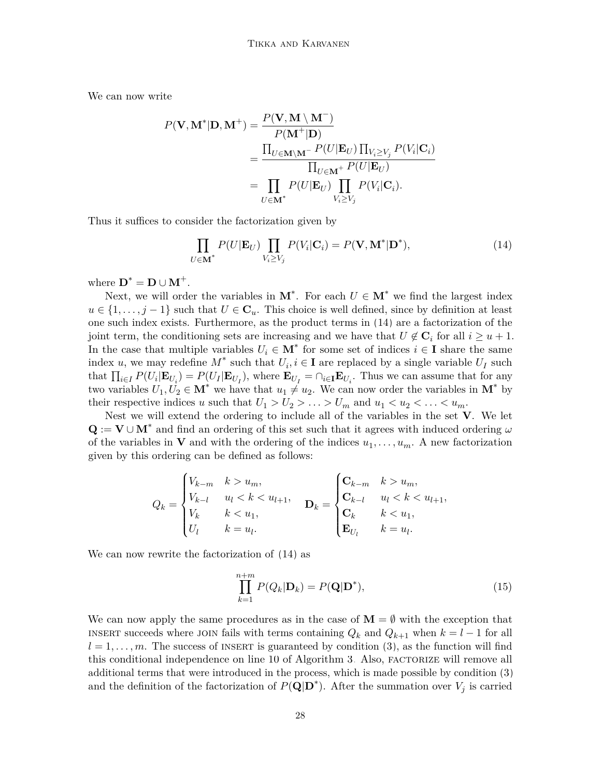We can now write

$$
P(\mathbf{V}, \mathbf{M}^* | \mathbf{D}, \mathbf{M}^+) = \frac{P(\mathbf{V}, \mathbf{M} \setminus \mathbf{M}^-)}{P(\mathbf{M}^+ | \mathbf{D})}
$$
  
= 
$$
\frac{\prod_{U \in \mathbf{M} \setminus \mathbf{M}^-} P(U | \mathbf{E}_U) \prod_{V_i \ge V_j} P(V_i | \mathbf{C}_i)}{\prod_{U \in \mathbf{M}^+} P(U | \mathbf{E}_U)}
$$
  
= 
$$
\prod_{U \in \mathbf{M}^*} P(U | \mathbf{E}_U) \prod_{V_i \ge V_j} P(V_i | \mathbf{C}_i).
$$

Thus it suffices to consider the factorization given by

<span id="page-27-0"></span>
$$
\prod_{U \in \mathbf{M}^*} P(U | \mathbf{E}_U) \prod_{V_i \ge V_j} P(V_i | \mathbf{C}_i) = P(\mathbf{V}, \mathbf{M}^* | \mathbf{D}^*), \tag{14}
$$

where  $\mathbf{D}^* = \mathbf{D} \cup \mathbf{M}^+$ .

Next, we will order the variables in  $M^*$ . For each  $U \in M^*$  we find the largest index  $u \in \{1, \ldots, j-1\}$  such that  $U \in \mathbb{C}_u$ . This choice is well defined, since by definition at least one such index exists. Furthermore, as the product terms in [\(14\)](#page-27-0) are a factorization of the joint term, the conditioning sets are increasing and we have that  $U \notin \mathbf{C}_i$  for all  $i \geq u+1$ . In the case that multiple variables  $U_i \in \mathbf{M}^*$  for some set of indices  $i \in \mathbf{I}$  share the same index *u*, we may redefine  $M^*$  such that  $U_i, i \in I$  are replaced by a single variable  $U_I$  such that  $\prod_{i\in I} P(U_i | \mathbf{E}_{U_i}) = P(U_I | \mathbf{E}_{U_I})$ , where  $\mathbf{E}_{U_I} = \cap_{i\in I} \mathbf{E}_{U_i}$ . Thus we can assume that for any two variables  $U_1, U_2 \in \mathbf{M}^*$  we have that  $u_1 \neq u_2$ . We can now order the variables in  $\mathbf{M}^*$  by their respective indices *u* such that  $U_1 > U_2 > \ldots > U_m$  and  $u_1 < u_2 < \ldots < u_m$ .

Nest we will extend the ordering to include all of the variables in the set **V**. We let  $\mathbf{Q} := \mathbf{V} \cup \mathbf{M}^*$  and find an ordering of this set such that it agrees with induced ordering  $\omega$ of the variables in **V** and with the ordering of the indices  $u_1, \ldots, u_m$ . A new factorization given by this ordering can be defined as follows:

$$
Q_k = \begin{cases} V_{k-m} & k > u_m, \\ V_{k-l} & u_l < k < u_{l+1}, \\ V_k & k < u_1, \\ U_l & k = u_l. \end{cases} \quad \mathbf{D}_k = \begin{cases} \mathbf{C}_{k-m} & k > u_m, \\ \mathbf{C}_{k-l} & u_l < k < u_{l+1}, \\ \mathbf{C}_k & k < u_1, \\ \mathbf{E}_{U_l} & k = u_l. \end{cases}
$$

We can now rewrite the factorization of [\(14\)](#page-27-0) as

$$
\prod_{k=1}^{n+m} P(Q_k | \mathbf{D}_k) = P(\mathbf{Q} | \mathbf{D}^*),\tag{15}
$$

We can now apply the same procedures as in the case of  $M = \emptyset$  with the exception that INSERT succeeds where JOIN fails with terms containing  $Q_k$  and  $Q_{k+1}$  when  $k = l - 1$  for all  $l = 1, \ldots, m$ . The success of INSERT is guaranteed by condition [\(3\)](#page-6-1), as the function will find this conditional independence on line [10](#page-8-0) of Algorithm [3.](#page-10-0) Also, FACTORIZE will remove all additional terms that were introduced in the process, which is made possible by condition [\(3\)](#page-6-1) and the definition of the factorization of  $P(\mathbf{Q}|\mathbf{D}^*)$ . After the summation over  $V_j$  is carried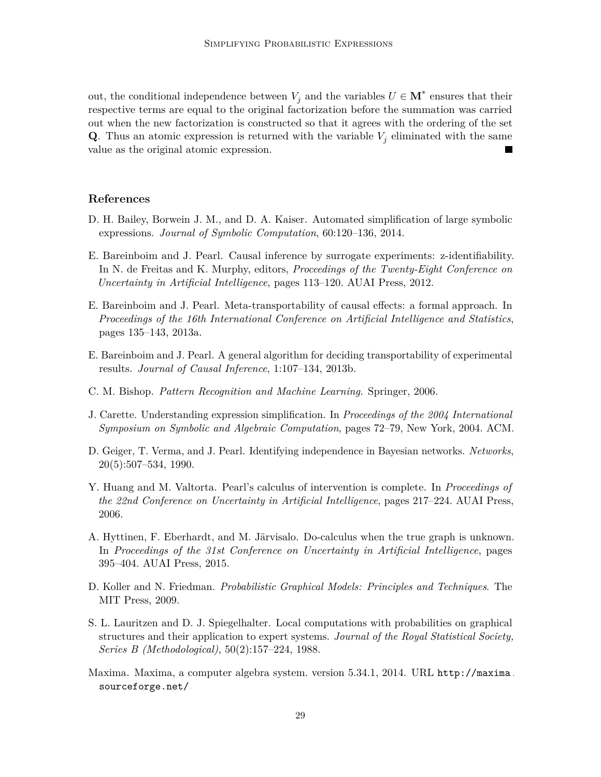out, the conditional independence between  $V_j$  and the variables  $U \in \mathbf{M}^*$  ensures that their respective terms are equal to the original factorization before the summation was carried out when the new factorization is constructed so that it agrees with the ordering of the set **Q**. Thus an atomic expression is returned with the variable  $V_i$  eliminated with the same value as the original atomic expression.

#### **References**

- <span id="page-28-10"></span>D. H. Bailey, Borwein J. M., and D. A. Kaiser. Automated simplification of large symbolic expressions. *Journal of Symbolic Computation*, 60:120–136, 2014.
- <span id="page-28-1"></span>E. Bareinboim and J. Pearl. Causal inference by surrogate experiments: z-identifiability. In N. de Freitas and K. Murphy, editors, *Proceedings of the Twenty-Eight Conference on Uncertainty in Artificial Intelligence*, pages 113–120. AUAI Press, 2012.
- <span id="page-28-3"></span>E. Bareinboim and J. Pearl. Meta-transportability of causal effects: a formal approach. In *Proceedings of the 16th International Conference on Artificial Intelligence and Statistics*, pages 135–143, 2013a.
- <span id="page-28-2"></span>E. Bareinboim and J. Pearl. A general algorithm for deciding transportability of experimental results. *Journal of Causal Inference*, 1:107–134, 2013b.
- <span id="page-28-6"></span>C. M. Bishop. *Pattern Recognition and Machine Learning*. Springer, 2006.
- <span id="page-28-8"></span>J. Carette. Understanding expression simplification. In *Proceedings of the 2004 International Symposium on Symbolic and Algebraic Computation*, pages 72–79, New York, 2004. ACM.
- <span id="page-28-4"></span>D. Geiger, T. Verma, and J. Pearl. Identifying independence in Bayesian networks. *Networks*, 20(5):507–534, 1990.
- <span id="page-28-0"></span>Y. Huang and M. Valtorta. Pearl's calculus of intervention is complete. In *Proceedings of the 22nd Conference on Uncertainty in Artificial Intelligence*, pages 217–224. AUAI Press, 2006.
- <span id="page-28-11"></span>A. Hyttinen, F. Eberhardt, and M. Järvisalo. Do-calculus when the true graph is unknown. In *Proceedings of the 31st Conference on Uncertainty in Artificial Intelligence*, pages 395–404. AUAI Press, 2015.
- <span id="page-28-5"></span>D. Koller and N. Friedman. *Probabilistic Graphical Models: Principles and Techniques*. The MIT Press, 2009.
- <span id="page-28-7"></span>S. L. Lauritzen and D. J. Spiegelhalter. Local computations with probabilities on graphical structures and their application to expert systems. *Journal of the Royal Statistical Society, Series B (Methodological)*, 50(2):157–224, 1988.
- <span id="page-28-9"></span>Maxima. Maxima, a computer algebra system. version 5.34.1, 2014. URL [http://maxima.](http://maxima.sourceforge.net/) [sourceforge.net/](http://maxima.sourceforge.net/).